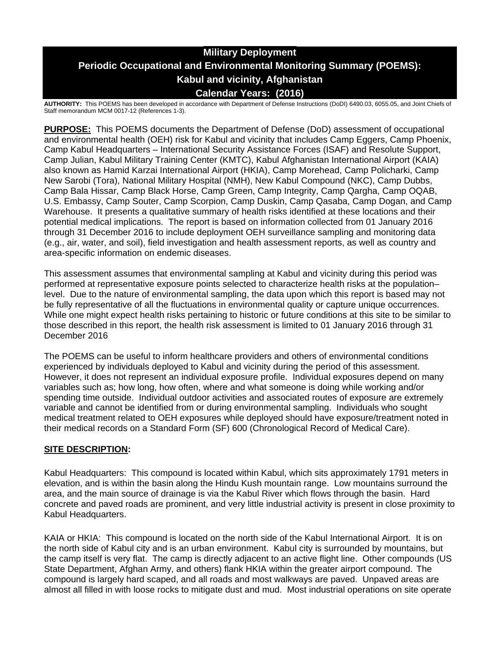# **Military Deployment Periodic Occupational and Environmental Monitoring Summary (POEMS): Kabul and vicinity, Afghanistan Calendar Years: (2016)**

**AUTHORITY:** This POEMS has been developed in accordance with Department of Defense Instructions (DoDI) 6490.03, 6055.05, and Joint Chiefs of Staff memorandum MCM 0017-12 (References 1-3).

**PURPOSE:** This POEMS documents the Department of Defense (DoD) assessment of occupational and environmental health (OEH) risk for Kabul and vicinity that includes Camp Eggers, Camp Phoenix, Camp Kabul Headquarters – International Security Assistance Forces (ISAF) and Resolute Support, Camp Julian, Kabul Military Training Center (KMTC), Kabul Afghanistan International Airport (KAIA) also known as Hamid Karzai International Airport (HKIA), Camp Morehead, Camp Policharki, Camp New Sarobi (Tora), National Military Hospital (NMH), New Kabul Compound (NKC), Camp Dubbs, Camp Bala Hissar, Camp Black Horse, Camp Green, Camp Integrity, Camp Qargha, Camp OQAB, U.S. Embassy, Camp Souter, Camp Scorpion, Camp Duskin, Camp Qasaba, Camp Dogan, and Camp Warehouse. It presents a qualitative summary of health risks identified at these locations and their potential medical implications. The report is based on information collected from 01 January 2016 through 31 December 2016 to include deployment OEH surveillance sampling and monitoring data (e.g., air, water, and soil), field investigation and health assessment reports, as well as country and area-specific information on endemic diseases.

This assessment assumes that environmental sampling at Kabul and vicinity during this period was performed at representative exposure points selected to characterize health risks at the population– level. Due to the nature of environmental sampling, the data upon which this report is based may not be fully representative of all the fluctuations in environmental quality or capture unique occurrences. While one might expect health risks pertaining to historic or future conditions at this site to be similar to those described in this report, the health risk assessment is limited to 01 January 2016 through 31 December 2016

The POEMS can be useful to inform healthcare providers and others of environmental conditions experienced by individuals deployed to Kabul and vicinity during the period of this assessment. However, it does not represent an individual exposure profile. Individual exposures depend on many variables such as; how long, how often, where and what someone is doing while working and/or spending time outside. Individual outdoor activities and associated routes of exposure are extremely variable and cannot be identified from or during environmental sampling. Individuals who sought medical treatment related to OEH exposures while deployed should have exposure/treatment noted in their medical records on a Standard Form (SF) 600 (Chronological Record of Medical Care).

# **SITE DESCRIPTION:**

Kabul Headquarters: This compound is located within Kabul, which sits approximately 1791 meters in elevation, and is within the basin along the Hindu Kush mountain range. Low mountains surround the area, and the main source of drainage is via the Kabul River which flows through the basin. Hard concrete and paved roads are prominent, and very little industrial activity is present in close proximity to Kabul Headquarters.

KAIA or HKIA: This compound is located on the north side of the Kabul International Airport. It is on the north side of Kabul city and is an urban environment. Kabul city is surrounded by mountains, but the camp itself is very flat. The camp is directly adjacent to an active flight line. Other compounds (US State Department, Afghan Army, and others) flank HKIA within the greater airport compound. The compound is largely hard scaped, and all roads and most walkways are paved. Unpaved areas are almost all filled in with loose rocks to mitigate dust and mud. Most industrial operations on site operate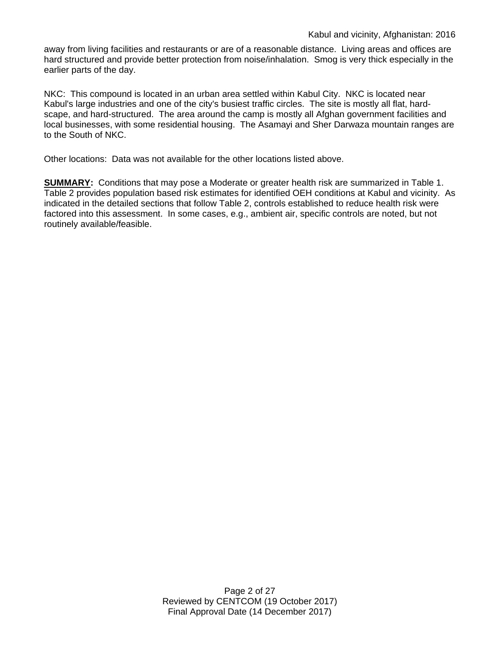away from living facilities and restaurants or are of a reasonable distance. Living areas and offices are hard structured and provide better protection from noise/inhalation. Smog is very thick especially in the earlier parts of the day.

NKC: This compound is located in an urban area settled within Kabul City. NKC is located near Kabul's large industries and one of the city's busiest traffic circles. The site is mostly all flat, hardscape, and hard-structured. The area around the camp is mostly all Afghan government facilities and local businesses, with some residential housing. The Asamayi and Sher Darwaza mountain ranges are to the South of NKC.

Other locations: Data was not available for the other locations listed above.

**SUMMARY:** Conditions that may pose a Moderate or greater health risk are summarized in Table 1. Table 2 provides population based risk estimates for identified OEH conditions at Kabul and vicinity. As indicated in the detailed sections that follow Table 2, controls established to reduce health risk were factored into this assessment. In some cases, e.g., ambient air, specific controls are noted, but not routinely available/feasible.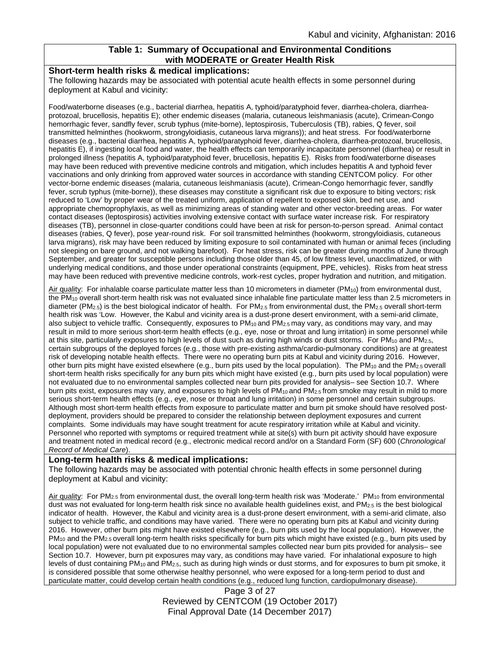# **Table 1: Summary of Occupational and Environmental Conditions with MODERATE or Greater Health Risk**

### **Short-term health risks & medical implications:**

The following hazards may be associated with potential acute health effects in some personnel during deployment at Kabul and vicinity:

Food/waterborne diseases (e.g., bacterial diarrhea, hepatitis A, typhoid/paratyphoid fever, diarrhea-cholera, diarrheaprotozoal, brucellosis, hepatitis E); other endemic diseases (malaria, cutaneous leishmaniasis (acute), Crimean-Congo hemorrhagic fever, sandfly fever, scrub typhus (mite-borne), leptospirosis, Tuberculosis (TB), rabies, Q fever, soil transmitted helminthes (hookworm, strongyloidiasis, cutaneous larva migrans)); and heat stress. For food/waterborne diseases (e.g., bacterial diarrhea, hepatitis A, typhoid/paratyphoid fever, diarrhea-cholera, diarrhea-protozoal, brucellosis, hepatitis E), if ingesting local food and water, the health effects can temporarily incapacitate personnel (diarrhea) or result in prolonged illness (hepatitis A, typhoid/paratyphoid fever, brucellosis, hepatitis E). Risks from food/waterborne diseases may have been reduced with preventive medicine controls and mitigation, which includes hepatitis A and typhoid fever vaccinations and only drinking from approved water sources in accordance with standing CENTCOM policy. For other vector-borne endemic diseases (malaria, cutaneous leishmaniasis (acute), Crimean-Congo hemorrhagic fever, sandfly fever, scrub typhus (mite-borne)), these diseases may constitute a significant risk due to exposure to biting vectors; risk reduced to 'Low' by proper wear of the treated uniform, application of repellent to exposed skin, bed net use, and appropriate chemoprophylaxis, as well as minimizing areas of standing water and other vector-breeding areas. For water contact diseases (leptospirosis) activities involving extensive contact with surface water increase risk. For respiratory diseases (TB), personnel in close-quarter conditions could have been at risk for person-to-person spread. Animal contact diseases (rabies, Q fever), pose year-round risk. For soil transmitted helminthes (hookworm, strongyloidiasis, cutaneous larva migrans), risk may have been reduced by limiting exposure to soil contaminated with human or animal feces (including not sleeping on bare ground, and not walking barefoot). For heat stress, risk can be greater during months of June through September, and greater for susceptible persons including those older than 45, of low fitness level, unacclimatized, or with underlying medical conditions, and those under operational constraints (equipment, PPE, vehicles). Risks from heat stress may have been reduced with preventive medicine controls, work-rest cycles, proper hydration and nutrition, and mitigation.

Air quality: For inhalable coarse particulate matter less than 10 micrometers in diameter (PM<sub>10</sub>) from environmental dust, the PM10 overall short-term health risk was not evaluated since inhalable fine particulate matter less than 2.5 micrometers in diameter (PM<sub>2.5</sub>) is the best biological indicator of health. For PM<sub>2.5</sub> from environmental dust, the PM<sub>2.5</sub> overall short-term health risk was 'Low. However, the Kabul and vicinity area is a dust-prone desert environment, with a semi-arid climate, also subject to vehicle traffic. Consequently, exposures to  $PM_{10}$  and  $PM_{2.5}$  may vary, as conditions may vary, and may result in mild to more serious short-term health effects (e.g., eye, nose or throat and lung irritation) in some personnel while at this site, particularly exposures to high levels of dust such as during high winds or dust storms. For PM<sub>10</sub> and PM<sub>2.5</sub>, certain subgroups of the deployed forces (e.g., those with pre-existing asthma/cardio-pulmonary conditions) are at greatest risk of developing notable health effects. There were no operating burn pits at Kabul and vicinity during 2016. However, other burn pits might have existed elsewhere (e.g., burn pits used by the local population). The PM<sub>10</sub> and the PM<sub>2.5</sub> overall short-term health risks specifically for any burn pits which might have existed (e.g., burn pits used by local population) were not evaluated due to no environmental samples collected near burn pits provided for analysis– see Section 10.7. Where burn pits exist, exposures may vary, and exposures to high levels of PM<sub>10</sub> and PM<sub>2.5</sub> from smoke may result in mild to more serious short-term health effects (e.g., eye, nose or throat and lung irritation) in some personnel and certain subgroups. Although most short-term health effects from exposure to particulate matter and burn pit smoke should have resolved postdeployment, providers should be prepared to consider the relationship between deployment exposures and current complaints. Some individuals may have sought treatment for acute respiratory irritation while at Kabul and vicinity. Personnel who reported with symptoms or required treatment while at site(s) with burn pit activity should have exposure and treatment noted in medical record (e.g., electronic medical record and/or on a Standard Form (SF) 600 (*Chronological Record of Medical Care*).

### **Long-term health risks & medical implications:**

The following hazards may be associated with potential chronic health effects in some personnel during deployment at Kabul and vicinity:

Air quality: For PM<sub>2.5</sub> from environmental dust, the overall long-term health risk was 'Moderate.' PM<sub>10</sub> from environmental dust was not evaluated for long-term health risk since no available health guidelines exist, and PM2.5 is the best biological indicator of health. However, the Kabul and vicinity area is a dust-prone desert environment, with a semi-arid climate, also subject to vehicle traffic, and conditions may have varied. There were no operating burn pits at Kabul and vicinity during 2016. However, other burn pits might have existed elsewhere (e.g., burn pits used by the local population). However, the  $PM_{10}$  and the PM<sub>2.5</sub> overall long-term health risks specifically for burn pits which might have existed (e.g., burn pits used by local population) were not evaluated due to no environmental samples collected near burn pits provided for analysis– see Section 10.7. However, burn pit exposures may vary, as conditions may have varied. For inhalational exposure to high levels of dust containing  $PM_{10}$  and  $PM_{2.5}$ , such as during high winds or dust storms, and for exposures to burn pit smoke, it is considered possible that some otherwise healthy personnel, who were exposed for a long-term period to dust and particulate matter, could develop certain health conditions (e.g., reduced lung function, cardiopulmonary disease).

Page 3 of 27 Reviewed by CENTCOM (19 October 2017) Final Approval Date (14 December 2017)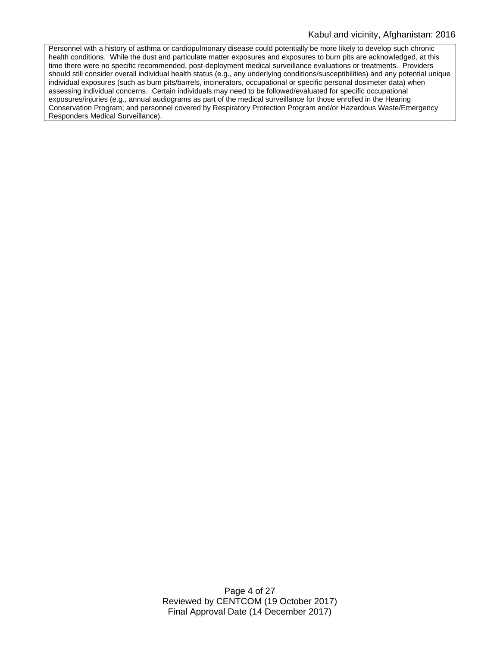Personnel with a history of asthma or cardiopulmonary disease could potentially be more likely to develop such chronic health conditions. While the dust and particulate matter exposures and exposures to burn pits are acknowledged, at this time there were no specific recommended, post-deployment medical surveillance evaluations or treatments. Providers should still consider overall individual health status (e.g., any underlying conditions/susceptibilities) and any potential unique individual exposures (such as burn pits/barrels, incinerators, occupational or specific personal dosimeter data) when assessing individual concerns. Certain individuals may need to be followed/evaluated for specific occupational exposures/injuries (e.g., annual audiograms as part of the medical surveillance for those enrolled in the Hearing Conservation Program; and personnel covered by Respiratory Protection Program and/or Hazardous Waste/Emergency Responders Medical Surveillance).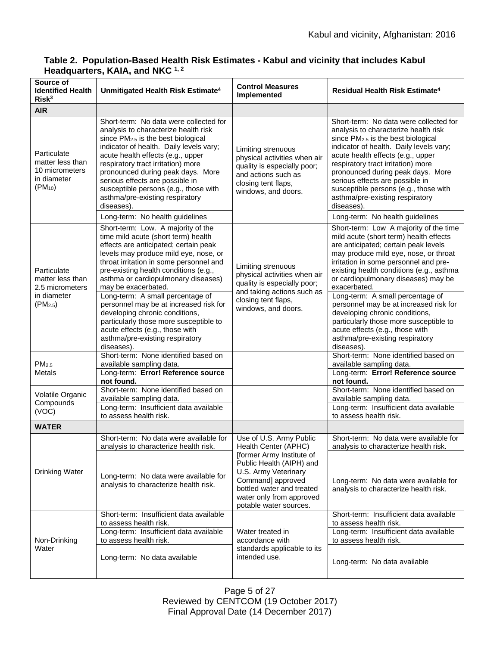| Source of<br><b>Identified Health</b><br>Risk <sup>3</sup>                        | Unmitigated Health Risk Estimate <sup>4</sup>                                                                                                                                                                                                                                                                                                                                                                                                                                                                                                               | <b>Control Measures</b><br>Implemented                                                                                                                                                                                                   | Residual Health Risk Estimate <sup>4</sup>                                                                                                                                                                                                                                                                                                                                                                                                                                                                                                                  |
|-----------------------------------------------------------------------------------|-------------------------------------------------------------------------------------------------------------------------------------------------------------------------------------------------------------------------------------------------------------------------------------------------------------------------------------------------------------------------------------------------------------------------------------------------------------------------------------------------------------------------------------------------------------|------------------------------------------------------------------------------------------------------------------------------------------------------------------------------------------------------------------------------------------|-------------------------------------------------------------------------------------------------------------------------------------------------------------------------------------------------------------------------------------------------------------------------------------------------------------------------------------------------------------------------------------------------------------------------------------------------------------------------------------------------------------------------------------------------------------|
| <b>AIR</b>                                                                        |                                                                                                                                                                                                                                                                                                                                                                                                                                                                                                                                                             |                                                                                                                                                                                                                                          |                                                                                                                                                                                                                                                                                                                                                                                                                                                                                                                                                             |
| Particulate<br>matter less than<br>10 micrometers<br>in diameter<br>$(PM_{10})$   | Short-term: No data were collected for<br>analysis to characterize health risk<br>since $PM2.5$ is the best biological<br>indicator of health. Daily levels vary;<br>acute health effects (e.g., upper<br>respiratory tract irritation) more<br>pronounced during peak days. More<br>serious effects are possible in<br>susceptible persons (e.g., those with<br>asthma/pre-existing respiratory<br>diseases).<br>Long-term: No health guidelines                                                                                                           | Limiting strenuous<br>physical activities when air<br>quality is especially poor;<br>and actions such as<br>closing tent flaps,<br>windows, and doors.                                                                                   | Short-term: No data were collected for<br>analysis to characterize health risk<br>since PM <sub>2.5</sub> is the best biological<br>indicator of health. Daily levels vary;<br>acute health effects (e.g., upper<br>respiratory tract irritation) more<br>pronounced during peak days. More<br>serious effects are possible in<br>susceptible persons (e.g., those with<br>asthma/pre-existing respiratory<br>diseases).<br>Long-term: No health guidelines                                                                                                 |
| Particulate<br>matter less than<br>2.5 micrometers<br>in diameter<br>$(PM_{2.5})$ | Short-term: Low. A majority of the<br>time mild acute (short term) health<br>effects are anticipated; certain peak<br>levels may produce mild eye, nose, or<br>throat irritation in some personnel and<br>pre-existing health conditions (e.g.,<br>asthma or cardiopulmonary diseases)<br>may be exacerbated.<br>Long-term: A small percentage of<br>personnel may be at increased risk for<br>developing chronic conditions,<br>particularly those more susceptible to<br>acute effects (e.g., those with<br>asthma/pre-existing respiratory<br>diseases). | Limiting strenuous<br>physical activities when air<br>quality is especially poor;<br>and taking actions such as<br>closing tent flaps,<br>windows, and doors.                                                                            | Short-term: Low A majority of the time<br>mild acute (short term) health effects<br>are anticipated; certain peak levels<br>may produce mild eye, nose, or throat<br>irritation in some personnel and pre-<br>existing health conditions (e.g., asthma<br>or cardiopulmonary diseases) may be<br>exacerbated.<br>Long-term: A small percentage of<br>personnel may be at increased risk for<br>developing chronic conditions,<br>particularly those more susceptible to<br>acute effects (e.g., those with<br>asthma/pre-existing respiratory<br>diseases). |
| PM <sub>2.5</sub><br><b>Metals</b>                                                | Short-term: None identified based on<br>available sampling data.<br>Long-term: Error! Reference source<br>not found.                                                                                                                                                                                                                                                                                                                                                                                                                                        |                                                                                                                                                                                                                                          | Short-term: None identified based on<br>available sampling data.<br>Long-term: Error! Reference source<br>not found.                                                                                                                                                                                                                                                                                                                                                                                                                                        |
| Volatile Organic<br>Compounds<br>(VOC)                                            | Short-term: None identified based on<br>available sampling data.<br>Long-term: Insufficient data available<br>to assess health risk.                                                                                                                                                                                                                                                                                                                                                                                                                        |                                                                                                                                                                                                                                          | Short-term: None identified based on<br>available sampling data.<br>Long-term: Insufficient data available<br>to assess health risk.                                                                                                                                                                                                                                                                                                                                                                                                                        |
| <b>WATER</b>                                                                      |                                                                                                                                                                                                                                                                                                                                                                                                                                                                                                                                                             |                                                                                                                                                                                                                                          |                                                                                                                                                                                                                                                                                                                                                                                                                                                                                                                                                             |
| <b>Drinking Water</b>                                                             | Short-term: No data were available for<br>analysis to characterize health risk.<br>Long-term: No data were available for<br>analysis to characterize health risk.                                                                                                                                                                                                                                                                                                                                                                                           | Use of U.S. Army Public<br>Health Center (APHC)<br>[former Army Institute of<br>Public Health (AIPH) and<br>U.S. Army Veterinary<br>Command] approved<br>bottled water and treated<br>water only from approved<br>potable water sources. | Short-term: No data were available for<br>analysis to characterize health risk.<br>Long-term: No data were available for<br>analysis to characterize health risk.                                                                                                                                                                                                                                                                                                                                                                                           |
| Non-Drinking<br>Water                                                             | Short-term: Insufficient data available<br>to assess health risk.<br>Long-term: Insufficient data available<br>to assess health risk.                                                                                                                                                                                                                                                                                                                                                                                                                       | Water treated in<br>accordance with<br>standards applicable to its<br>intended use.                                                                                                                                                      | Short-term: Insufficient data available<br>to assess health risk.<br>Long-term: Insufficient data available<br>to assess health risk.                                                                                                                                                                                                                                                                                                                                                                                                                       |
|                                                                                   | Long-term: No data available                                                                                                                                                                                                                                                                                                                                                                                                                                                                                                                                |                                                                                                                                                                                                                                          | Long-term: No data available                                                                                                                                                                                                                                                                                                                                                                                                                                                                                                                                |

# **Table 2. Population-Based Health Risk Estimates - Kabul and vicinity that includes Kabul Headquarters, KAIA, and NKC 1, 2**

Page 5 of 27 Reviewed by CENTCOM (19 October 2017) Final Approval Date (14 December 2017)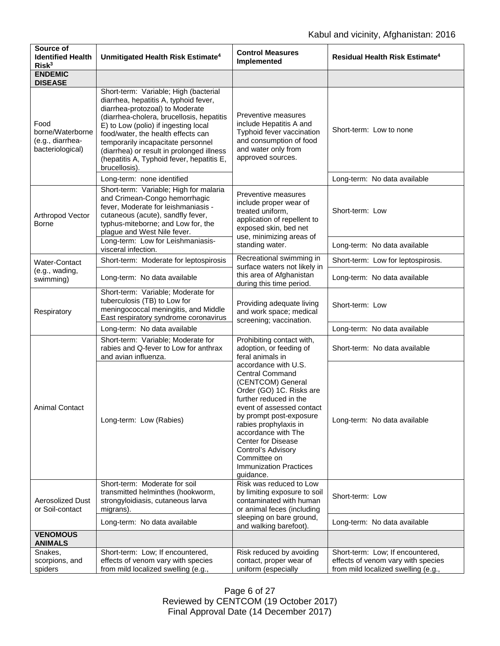| Source of<br><b>Identified Health</b><br>Risk <sup>3</sup>       | Unmitigated Health Risk Estimate <sup>4</sup>                                                                                                                                                                                                                                                                                                                                                 | <b>Control Measures</b><br>Implemented                                                                                                                                                                                                                                                                                                                                                                                         | Residual Health Risk Estimate <sup>4</sup>                             |
|------------------------------------------------------------------|-----------------------------------------------------------------------------------------------------------------------------------------------------------------------------------------------------------------------------------------------------------------------------------------------------------------------------------------------------------------------------------------------|--------------------------------------------------------------------------------------------------------------------------------------------------------------------------------------------------------------------------------------------------------------------------------------------------------------------------------------------------------------------------------------------------------------------------------|------------------------------------------------------------------------|
| <b>ENDEMIC</b><br><b>DISEASE</b>                                 |                                                                                                                                                                                                                                                                                                                                                                                               |                                                                                                                                                                                                                                                                                                                                                                                                                                |                                                                        |
| Food<br>borne/Waterborne<br>(e.g., diarrhea-<br>bacteriological) | Short-term: Variable; High (bacterial<br>diarrhea, hepatitis A, typhoid fever,<br>diarrhea-protozoal) to Moderate<br>(diarrhea-cholera, brucellosis, hepatitis<br>E) to Low (polio) if ingesting local<br>food/water, the health effects can<br>temporarily incapacitate personnel<br>(diarrhea) or result in prolonged illness<br>(hepatitis A, Typhoid fever, hepatitis E,<br>brucellosis). | Preventive measures<br>include Hepatitis A and<br>Typhoid fever vaccination<br>and consumption of food<br>and water only from<br>approved sources.                                                                                                                                                                                                                                                                             | Short-term: Low to none                                                |
|                                                                  | Long-term: none identified                                                                                                                                                                                                                                                                                                                                                                    |                                                                                                                                                                                                                                                                                                                                                                                                                                | Long-term: No data available                                           |
| Arthropod Vector<br>Borne                                        | Short-term: Variable; High for malaria<br>and Crimean-Congo hemorrhagic<br>fever, Moderate for leishmaniasis -<br>cutaneous (acute), sandfly fever,<br>typhus-miteborne; and Low for, the<br>plague and West Nile fever.                                                                                                                                                                      | Preventive measures<br>include proper wear of<br>treated uniform,<br>application of repellent to<br>exposed skin, bed net<br>use, minimizing areas of<br>standing water.                                                                                                                                                                                                                                                       | Short-term: Low                                                        |
|                                                                  | Long-term: Low for Leishmaniasis-<br>visceral infection.                                                                                                                                                                                                                                                                                                                                      |                                                                                                                                                                                                                                                                                                                                                                                                                                | Long-term: No data available                                           |
| Water-Contact                                                    | Short-term: Moderate for leptospirosis                                                                                                                                                                                                                                                                                                                                                        | Recreational swimming in<br>surface waters not likely in                                                                                                                                                                                                                                                                                                                                                                       | Short-term: Low for leptospirosis.                                     |
| (e.g., wading,<br>swimming)                                      | Long-term: No data available                                                                                                                                                                                                                                                                                                                                                                  | this area of Afghanistan<br>during this time period.                                                                                                                                                                                                                                                                                                                                                                           | Long-term: No data available                                           |
| Respiratory                                                      | Short-term: Variable; Moderate for<br>tuberculosis (TB) to Low for<br>meningococcal meningitis, and Middle<br>East respiratory syndrome coronavirus                                                                                                                                                                                                                                           | Providing adequate living<br>and work space; medical<br>screening; vaccination.                                                                                                                                                                                                                                                                                                                                                | Short-term: Low                                                        |
|                                                                  | Long-term: No data available                                                                                                                                                                                                                                                                                                                                                                  |                                                                                                                                                                                                                                                                                                                                                                                                                                | Long-term: No data available                                           |
| <b>Animal Contact</b>                                            | Short-term: Variable; Moderate for<br>rabies and Q-fever to Low for anthrax<br>and avian influenza.                                                                                                                                                                                                                                                                                           | Prohibiting contact with,<br>adoption, or feeding of<br>feral animals in<br>accordance with U.S.<br><b>Central Command</b><br>(CENTCOM) General<br>Order (GO) 1C. Risks are<br>further reduced in the<br>event of assessed contact<br>by prompt post-exposure<br>rabies prophylaxis in<br>accordance with The<br><b>Center for Disease</b><br>Control's Advisory<br>Committee on<br><b>Immunization Practices</b><br>guidance. | Short-term: No data available                                          |
|                                                                  | Long-term: Low (Rabies)                                                                                                                                                                                                                                                                                                                                                                       |                                                                                                                                                                                                                                                                                                                                                                                                                                | Long-term: No data available                                           |
| <b>Aerosolized Dust</b><br>or Soil-contact                       | Short-term: Moderate for soil<br>transmitted helminthes (hookworm,<br>strongyloidiasis, cutaneous larva<br>migrans).                                                                                                                                                                                                                                                                          | Risk was reduced to Low<br>by limiting exposure to soil<br>contaminated with human<br>or animal feces (including                                                                                                                                                                                                                                                                                                               | Short-term: Low                                                        |
|                                                                  | Long-term: No data available                                                                                                                                                                                                                                                                                                                                                                  | sleeping on bare ground,<br>and walking barefoot).                                                                                                                                                                                                                                                                                                                                                                             | Long-term: No data available                                           |
| <b>VENOMOUS</b><br><b>ANIMALS</b>                                |                                                                                                                                                                                                                                                                                                                                                                                               |                                                                                                                                                                                                                                                                                                                                                                                                                                |                                                                        |
| Snakes,<br>scorpions, and                                        | Short-term: Low; If encountered,<br>effects of venom vary with species                                                                                                                                                                                                                                                                                                                        | Risk reduced by avoiding<br>contact, proper wear of                                                                                                                                                                                                                                                                                                                                                                            | Short-term: Low; If encountered,<br>effects of venom vary with species |
| spiders                                                          | from mild localized swelling (e.g.,                                                                                                                                                                                                                                                                                                                                                           | uniform (especially                                                                                                                                                                                                                                                                                                                                                                                                            | from mild localized swelling (e.g.,                                    |

Page 6 of 27 Reviewed by CENTCOM (19 October 2017) Final Approval Date (14 December 2017)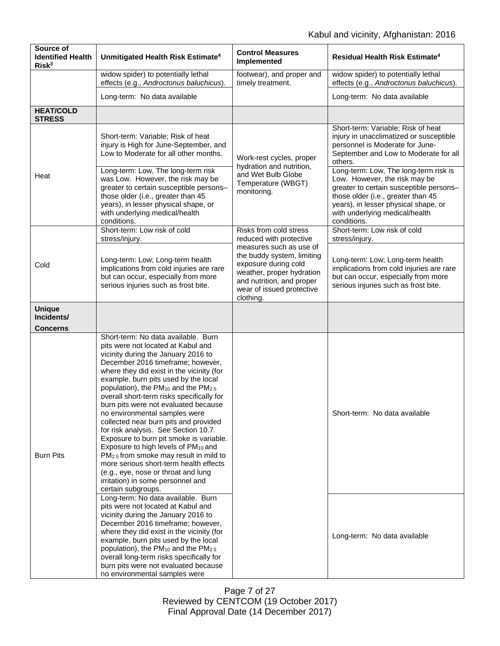| Source of<br><b>Identified Health</b><br>Risk <sup>3</sup> | Unmitigated Health Risk Estimate <sup>4</sup>                                                                                                                                                                                                                                                                                                                                                                                                                                                                                                                                                                                                                                                                                                                                                                    | <b>Control Measures</b><br>Implemented                                                                                                                                                                                                 | Residual Health Risk Estimate <sup>4</sup>                                                                                                                                                                    |
|------------------------------------------------------------|------------------------------------------------------------------------------------------------------------------------------------------------------------------------------------------------------------------------------------------------------------------------------------------------------------------------------------------------------------------------------------------------------------------------------------------------------------------------------------------------------------------------------------------------------------------------------------------------------------------------------------------------------------------------------------------------------------------------------------------------------------------------------------------------------------------|----------------------------------------------------------------------------------------------------------------------------------------------------------------------------------------------------------------------------------------|---------------------------------------------------------------------------------------------------------------------------------------------------------------------------------------------------------------|
|                                                            | widow spider) to potentially lethal<br>effects (e.g., Androctonus baluchicus).                                                                                                                                                                                                                                                                                                                                                                                                                                                                                                                                                                                                                                                                                                                                   | footwear), and proper and<br>timely treatment.                                                                                                                                                                                         | widow spider) to potentially lethal<br>effects (e.g., Androctonus baluchicus).                                                                                                                                |
|                                                            | Long-term: No data available                                                                                                                                                                                                                                                                                                                                                                                                                                                                                                                                                                                                                                                                                                                                                                                     |                                                                                                                                                                                                                                        | Long-term: No data available                                                                                                                                                                                  |
| <b>HEAT/COLD</b><br><b>STRESS</b>                          |                                                                                                                                                                                                                                                                                                                                                                                                                                                                                                                                                                                                                                                                                                                                                                                                                  |                                                                                                                                                                                                                                        |                                                                                                                                                                                                               |
| Heat                                                       | Short-term: Variable; Risk of heat<br>injury is High for June-September, and<br>Low to Moderate for all other months.<br>Long-term: Low, The long-term risk                                                                                                                                                                                                                                                                                                                                                                                                                                                                                                                                                                                                                                                      | Work-rest cycles, proper<br>hydration and nutrition,<br>and Wet Bulb Globe<br>Temperature (WBGT)<br>monitoring.                                                                                                                        | Short-term: Variable; Risk of heat<br>injury in unacclimatized or susceptible<br>personnel is Moderate for June-<br>September and Low to Moderate for all<br>others.<br>Long-term: Low, The long-term risk is |
|                                                            | was Low. However, the risk may be<br>greater to certain susceptible persons-<br>those older (i.e., greater than 45<br>years), in lesser physical shape, or<br>with underlying medical/health<br>conditions.                                                                                                                                                                                                                                                                                                                                                                                                                                                                                                                                                                                                      |                                                                                                                                                                                                                                        | Low. However, the risk may be<br>greater to certain susceptible persons-<br>those older (i.e., greater than 45<br>years), in lesser physical shape, or<br>with underlying medical/health<br>conditions.       |
| Cold                                                       | Short-term: Low risk of cold<br>stress/injury.                                                                                                                                                                                                                                                                                                                                                                                                                                                                                                                                                                                                                                                                                                                                                                   | Risks from cold stress<br>reduced with protective<br>measures such as use of<br>the buddy system, limiting<br>exposure during cold<br>weather, proper hydration<br>and nutrition, and proper<br>wear of issued protective<br>clothing. | Short-term: Low risk of cold<br>stress/injury.                                                                                                                                                                |
|                                                            | Long-term: Low; Long-term health<br>implications from cold injuries are rare<br>but can occur, especially from more<br>serious injuries such as frost bite.                                                                                                                                                                                                                                                                                                                                                                                                                                                                                                                                                                                                                                                      |                                                                                                                                                                                                                                        | Long-term: Low; Long-term health<br>implications from cold injuries are rare<br>but can occur, especially from more<br>serious injuries such as frost bite.                                                   |
| <b>Unique</b><br>Incidents/<br><b>Concerns</b>             |                                                                                                                                                                                                                                                                                                                                                                                                                                                                                                                                                                                                                                                                                                                                                                                                                  |                                                                                                                                                                                                                                        |                                                                                                                                                                                                               |
| <b>Burn Pits</b>                                           | Short-term: No data available. Burn<br>pits were not located at Kabul and<br>vicinity during the January 2016 to<br>December 2016 timeframe; however,<br>where they did exist in the vicinity (for<br>example, burn pits used by the local<br>population), the PM <sub>10</sub> and the PM <sub>2.5</sub><br>overall short-term risks specifically for<br>burn pits were not evaluated because<br>no environmental samples were<br>collected near burn pits and provided<br>for risk analysis. See Section 10.7.<br>Exposure to burn pit smoke is variable.<br>Exposure to high levels of PM <sub>10</sub> and<br>PM <sub>2.5</sub> from smoke may result in mild to<br>more serious short-term health effects<br>(e.g., eye, nose or throat and lung<br>irritation) in some personnel and<br>certain subgroups. |                                                                                                                                                                                                                                        | Short-term: No data available                                                                                                                                                                                 |
|                                                            | Long-term: No data available. Burn<br>pits were not located at Kabul and<br>vicinity during the January 2016 to<br>December 2016 timeframe; however,<br>where they did exist in the vicinity (for<br>example, burn pits used by the local<br>population), the PM <sub>10</sub> and the PM <sub>2.5</sub><br>overall long-term risks specifically for<br>burn pits were not evaluated because<br>no environmental samples were                                                                                                                                                                                                                                                                                                                                                                                    |                                                                                                                                                                                                                                        | Long-term: No data available                                                                                                                                                                                  |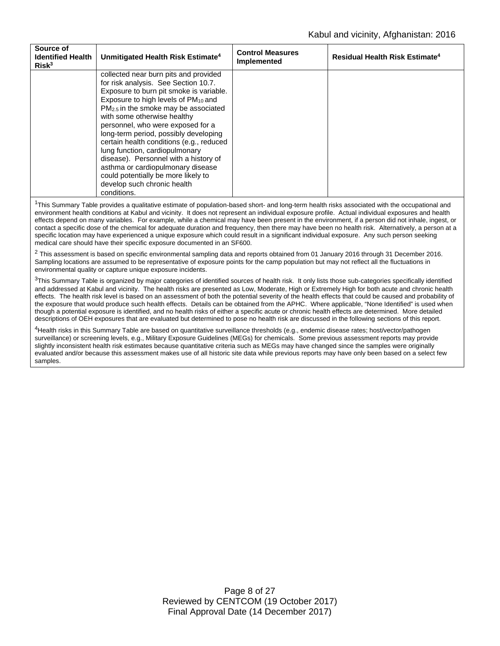| Source of<br><b>Identified Health</b><br>Risk <sup>3</sup> | Unmitigated Health Risk Estimate <sup>4</sup>                                                                                                                                                                                                                                                                                                                                                                                                                                                                                                                                       | <b>Control Measures</b><br>Implemented | <b>Residual Health Risk Estimate<sup>4</sup></b> |
|------------------------------------------------------------|-------------------------------------------------------------------------------------------------------------------------------------------------------------------------------------------------------------------------------------------------------------------------------------------------------------------------------------------------------------------------------------------------------------------------------------------------------------------------------------------------------------------------------------------------------------------------------------|----------------------------------------|--------------------------------------------------|
|                                                            | collected near burn pits and provided<br>for risk analysis. See Section 10.7.<br>Exposure to burn pit smoke is variable.<br>Exposure to high levels of PM <sub>10</sub> and<br>$PM2.5$ in the smoke may be associated<br>with some otherwise healthy<br>personnel, who were exposed for a<br>long-term period, possibly developing<br>certain health conditions (e.g., reduced<br>lung function, cardiopulmonary<br>disease). Personnel with a history of<br>asthma or cardiopulmonary disease<br>could potentially be more likely to<br>develop such chronic health<br>conditions. |                                        |                                                  |

<sup>1</sup>This Summary Table provides a qualitative estimate of population-based short- and long-term health risks associated with the occupational and environment health conditions at Kabul and vicinity. It does not represent an individual exposure profile. Actual individual exposures and health effects depend on many variables. For example, while a chemical may have been present in the environment, if a person did not inhale, ingest, or contact a specific dose of the chemical for adequate duration and frequency, then there may have been no health risk. Alternatively, a person at a specific location may have experienced a unique exposure which could result in a significant individual exposure. Any such person seeking medical care should have their specific exposure documented in an SF600.

<sup>2</sup> This assessment is based on specific environmental sampling data and reports obtained from 01 January 2016 through 31 December 2016. Sampling locations are assumed to be representative of exposure points for the camp population but may not reflect all the fluctuations in environmental quality or capture unique exposure incidents.

 $3$ This Summary Table is organized by major categories of identified sources of health risk. It only lists those sub-categories specifically identified and addressed at Kabul and vicinity. The health risks are presented as Low, Moderate, High or Extremely High for both acute and chronic health effects. The health risk level is based on an assessment of both the potential severity of the health effects that could be caused and probability of the exposure that would produce such health effects. Details can be obtained from the APHC. Where applicable, "None Identified" is used when though a potential exposure is identified, and no health risks of either a specific acute or chronic health effects are determined. More detailed descriptions of OEH exposures that are evaluated but determined to pose no health risk are discussed in the following sections of this report.

4Health risks in this Summary Table are based on quantitative surveillance thresholds (e.g., endemic disease rates; host/vector/pathogen surveillance) or screening levels, e.g., Military Exposure Guidelines (MEGs) for chemicals. Some previous assessment reports may provide slightly inconsistent health risk estimates because quantitative criteria such as MEGs may have changed since the samples were originally evaluated and/or because this assessment makes use of all historic site data while previous reports may have only been based on a select few samples.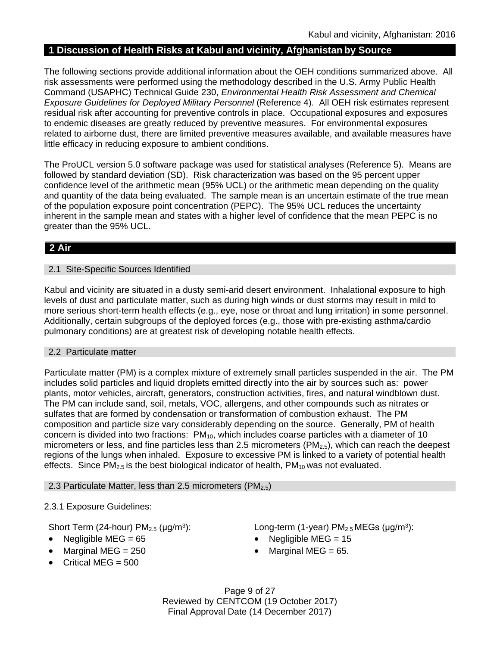# **1 Discussion of Health Risks at Kabul and vicinity, Afghanistan by Source**

The following sections provide additional information about the OEH conditions summarized above. All risk assessments were performed using the methodology described in the U.S. Army Public Health Command (USAPHC) Technical Guide 230, *Environmental Health Risk Assessment and Chemical Exposure Guidelines for Deployed Military Personnel (Reference 4). All OEH risk estimates represent* residual risk after accounting for preventive controls in place. Occupational exposures and exposures to endemic diseases are greatly reduced by preventive measures. For environmental exposures related to airborne dust, there are limited preventive measures available, and available measures have little efficacy in reducing exposure to ambient conditions.

The ProUCL version 5.0 software package was used for statistical analyses (Reference 5). Means are followed by standard deviation (SD). Risk characterization was based on the 95 percent upper confidence level of the arithmetic mean (95% UCL) or the arithmetic mean depending on the quality and quantity of the data being evaluated. The sample mean is an uncertain estimate of the true mean of the population exposure point concentration (PEPC). The 95% UCL reduces the uncertainty inherent in the sample mean and states with a higher level of confidence that the mean PEPC is no greater than the 95% UCL.

# **2 Air**

### 2.1 Site-Specific Sources Identified

Kabul and vicinity are situated in a dusty semi-arid desert environment. Inhalational exposure to high levels of dust and particulate matter, such as during high winds or dust storms may result in mild to more serious short-term health effects (e.g., eye, nose or throat and lung irritation) in some personnel. Additionally, certain subgroups of the deployed forces (e.g., those with pre-existing asthma/cardio pulmonary conditions) are at greatest risk of developing notable health effects.

# 2.2 Particulate matter

Particulate matter (PM) is a complex mixture of extremely small particles suspended in the air. The PM includes solid particles and liquid droplets emitted directly into the air by sources such as: power plants, motor vehicles, aircraft, generators, construction activities, fires, and natural windblown dust. The PM can include sand, soil, metals, VOC, allergens, and other compounds such as nitrates or sulfates that are formed by condensation or transformation of combustion exhaust. The PM composition and particle size vary considerably depending on the source. Generally, PM of health concern is divided into two fractions: PM<sub>10</sub>, which includes coarse particles with a diameter of 10 micrometers or less, and fine particles less than 2.5 micrometers ( $PM_{2.5}$ ), which can reach the deepest regions of the lungs when inhaled. Exposure to excessive PM is linked to a variety of potential health effects. Since  $PM_{2.5}$  is the best biological indicator of health,  $PM_{10}$  was not evaluated.

2.3 Particulate Matter, less than 2.5 micrometers ( $PM_{2.5}$ )

# 2.3.1 Exposure Guidelines:

- 
- Marginal MEG =  $250$  Marginal MEG =  $65$ .
- Critical MEG  $= 500$

Short Term (24-hour)  $PM_{2.5}$  (µg/m<sup>3</sup>): Long-term (1-year)  $PM_{2.5}$  MEGs (µg/m<sup>3</sup>):

- Negligible MEG = 65 Negligible MEG = 15
	-

Page 9 of 27 Reviewed by CENTCOM (19 October 2017) Final Approval Date (14 December 2017)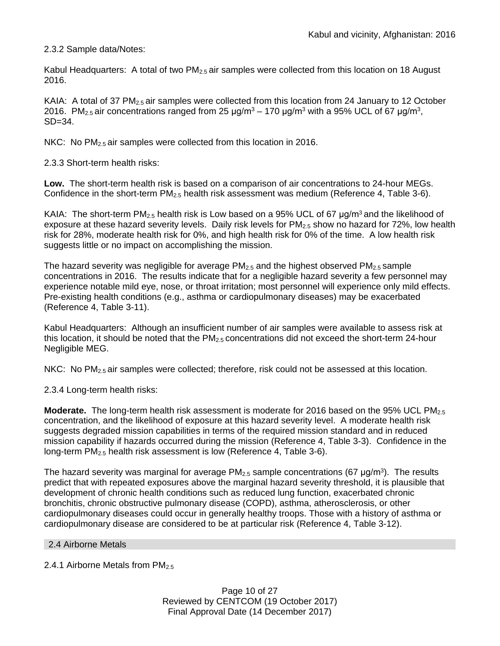2.3.2 Sample data/Notes:

Kabul Headquarters: A total of two PM<sub>2.5</sub> air samples were collected from this location on 18 August 2016.

KAIA: A total of 37 PM<sub>2.5</sub> air samples were collected from this location from 24 January to 12 October 2016. PM<sub>2.5</sub> air concentrations ranged from 25  $\mu$ g/m<sup>3</sup> – 170  $\mu$ g/m<sup>3</sup> with a 95% UCL of 67  $\mu$ g/m<sup>3</sup>, SD=34.

NKC: No PM<sub>2.5</sub> air samples were collected from this location in 2016.

2.3.3 Short-term health risks:

**Low.** The short-term health risk is based on a comparison of air concentrations to 24-hour MEGs. Confidence in the short-term  $PM_{2.5}$  health risk assessment was medium (Reference 4, Table 3-6).

KAIA: The short-term PM<sub>2.5</sub> health risk is Low based on a 95% UCL of 67  $\mu$ g/m<sup>3</sup> and the likelihood of exposure at these hazard severity levels. Daily risk levels for PM<sub>2.5</sub> show no hazard for 72%, low health risk for 28%, moderate health risk for 0%, and high health risk for 0% of the time. A low health risk suggests little or no impact on accomplishing the mission.

The hazard severity was negligible for average  $PM_{2.5}$  and the highest observed  $PM_{2.5}$  sample concentrations in 2016. The results indicate that for a negligible hazard severity a few personnel may experience notable mild eye, nose, or throat irritation; most personnel will experience only mild effects. Pre-existing health conditions (e.g., asthma or cardiopulmonary diseases) may be exacerbated (Reference 4, Table 3-11).

Kabul Headquarters: Although an insufficient number of air samples were available to assess risk at this location, it should be noted that the  $PM_{2.5}$  concentrations did not exceed the short-term 24-hour Negligible MEG.

NKC: No  $PM<sub>2.5</sub>$  air samples were collected; therefore, risk could not be assessed at this location.

2.3.4 Long-term health risks:

**Moderate.** The long-term health risk assessment is moderate for 2016 based on the 95% UCL PM<sub>2.5</sub> concentration, and the likelihood of exposure at this hazard severity level. A moderate health risk suggests degraded mission capabilities in terms of the required mission standard and in reduced mission capability if hazards occurred during the mission (Reference 4, Table 3-3). Confidence in the long-term PM2.5 health risk assessment is low (Reference 4, Table 3-6).

The hazard severity was marginal for average  $PM_{2.5}$  sample concentrations (67 µg/m<sup>3</sup>). The results predict that with repeated exposures above the marginal hazard severity threshold, it is plausible that development of chronic health conditions such as reduced lung function, exacerbated chronic bronchitis, chronic obstructive pulmonary disease (COPD), asthma, atherosclerosis, or other cardiopulmonary diseases could occur in generally healthy troops. Those with a history of asthma or cardiopulmonary disease are considered to be at particular risk (Reference 4, Table 3-12).

2.4 Airborne Metals

2.4.1 Airborne Metals from PM<sub>2.5</sub>

Page 10 of 27 Reviewed by CENTCOM (19 October 2017) Final Approval Date (14 December 2017)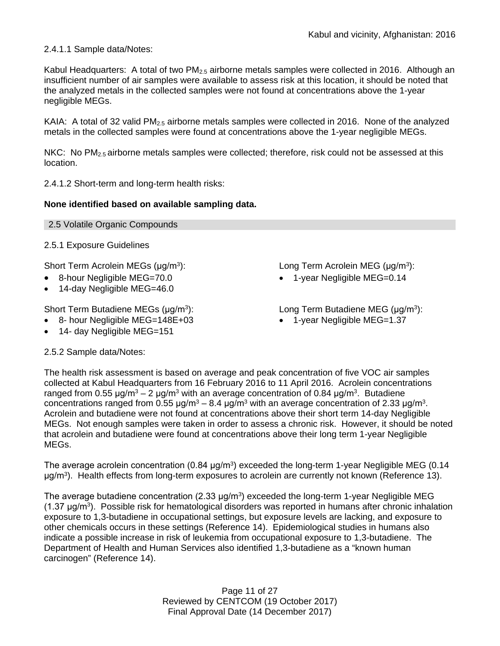2.4.1.1 Sample data/Notes:

Kabul Headquarters: A total of two  $PM_{2.5}$  airborne metals samples were collected in 2016. Although an insufficient number of air samples were available to assess risk at this location, it should be noted that the analyzed metals in the collected samples were not found at concentrations above the 1-year negligible MEGs.

KAIA: A total of 32 valid  $PM_{2.5}$  airborne metals samples were collected in 2016. None of the analyzed metals in the collected samples were found at concentrations above the 1-year negligible MEGs.

NKC: No  $PM_{2.5}$  airborne metals samples were collected; therefore, risk could not be assessed at this location.

2.4.1.2 Short-term and long-term health risks:

# **None identified based on available sampling data.**

2.5.1 Exposure Guidelines

Short Term Acrolein MEGs (μg/m<sup>3</sup>): Long Term Acrolein MEG (μg/m<sup>3</sup>):

- 8-hour Negligible MEG=70.0 1-year Negligible MEG=0.14
- 14-day Negligible MEG=46.0

Short Term Butadiene MEGs (μg/m<sup>3</sup>): Long Term Butadiene MEG (μg/m<sup>3</sup>):

- 8- hour Negligible MEG=148E+03 1-year Negligible MEG=1.37
- 14- day Negligible MEG=151

2.5.2 Sample data/Notes:

- 
- 

The health risk assessment is based on average and peak concentration of five VOC air samples collected at Kabul Headquarters from 16 February 2016 to 11 April 2016. Acrolein concentrations ranged from 0.55 μg/m<sup>3</sup> – 2 μg/m<sup>3</sup> with an average concentration of 0.84 μg/m<sup>3</sup>. Butadiene concentrations ranged from 0.55  $\mu$ g/m<sup>3</sup> – 8.4  $\mu$ g/m<sup>3</sup> with an average concentration of 2.33  $\mu$ g/m<sup>3</sup>. Acrolein and butadiene were not found at concentrations above their short term 14-day Negligible MEGs. Not enough samples were taken in order to assess a chronic risk. However, it should be noted that acrolein and butadiene were found at concentrations above their long term 1-year Negligible MEGs.

The average acrolein concentration (0.84  $\mu$ g/m<sup>3</sup>) exceeded the long-term 1-year Negligible MEG (0.14  $\mu$ g/m<sup>3</sup>). Health effects from long-term exposures to acrolein are currently not known (Reference 13).

The average butadiene concentration  $(2.33 \mu q/m^3)$  exceeded the long-term 1-year Negligible MEG (1.37 μg/m3). Possible risk for hematological disorders was reported in humans after chronic inhalation exposure to 1,3-butadiene in occupational settings, but exposure levels are lacking, and exposure to other chemicals occurs in these settings (Reference 14). Epidemiological studies in humans also indicate a possible increase in risk of leukemia from occupational exposure to 1,3-butadiene. The Department of Health and Human Services also identified 1,3-butadiene as a "known human carcinogen" (Reference 14).

> Page 11 of 27 Reviewed by CENTCOM (19 October 2017) Final Approval Date (14 December 2017)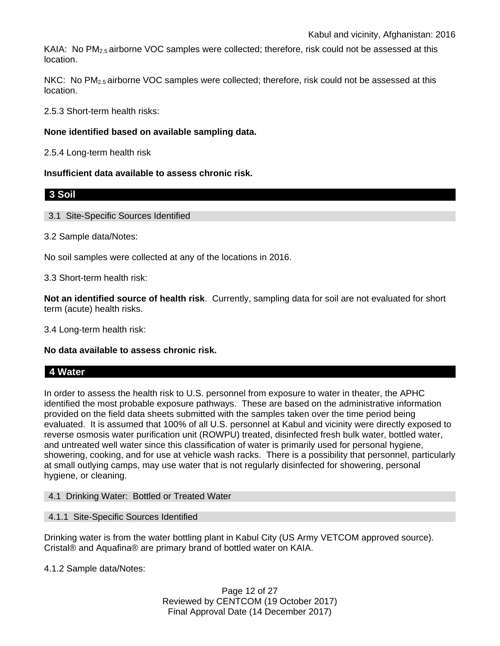KAIA: No  $PM<sub>2.5</sub>$  airborne VOC samples were collected; therefore, risk could not be assessed at this location.

NKC: No PM<sub>2.5</sub> airborne VOC samples were collected; therefore, risk could not be assessed at this location.

2.5.3 Short-term health risks:

### **None identified based on available sampling data.**

2.5.4 Long-term health risk

### **Insufficient data available to assess chronic risk.**

3.1 Site-Specific Sources Identified

3.2 Sample data/Notes:

No soil samples were collected at any of the locations in 2016.

3.3 Short-term health risk:

**Not an identified source of health risk**. Currently, sampling data for soil are not evaluated for short term (acute) health risks.

3.4 Long-term health risk:

**No data available to assess chronic risk.**

# **4 Water**

**3 Soil**

In order to assess the health risk to U.S. personnel from exposure to water in theater, the APHC identified the most probable exposure pathways. These are based on the administrative information provided on the field data sheets submitted with the samples taken over the time period being evaluated. It is assumed that 100% of all U.S. personnel at Kabul and vicinity were directly exposed to reverse osmosis water purification unit (ROWPU) treated, disinfected fresh bulk water, bottled water, and untreated well water since this classification of water is primarily used for personal hygiene, showering, cooking, and for use at vehicle wash racks. There is a possibility that personnel, particularly at small outlying camps, may use water that is not regularly disinfected for showering, personal hygiene, or cleaning.

4.1 Drinking Water: Bottled or Treated Water

4.1.1 Site-Specific Sources Identified

Drinking water is from the water bottling plant in Kabul City (US Army VETCOM approved source). Cristal® and Aquafina® are primary brand of bottled water on KAIA.

4.1.2 Sample data/Notes:

Page 12 of 27 Reviewed by CENTCOM (19 October 2017) Final Approval Date (14 December 2017)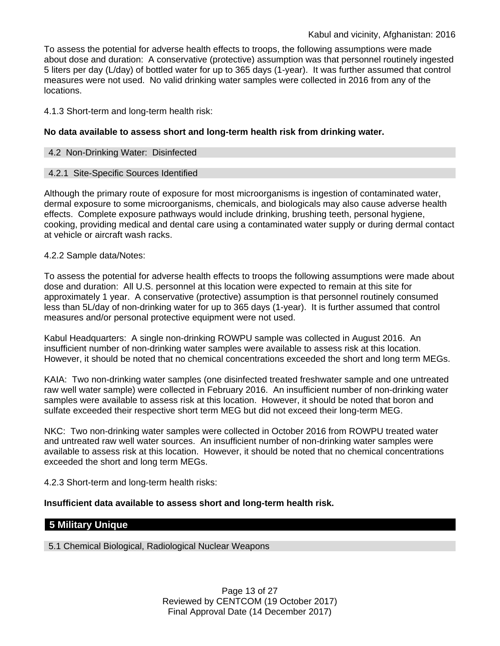To assess the potential for adverse health effects to troops, the following assumptions were made about dose and duration: A conservative (protective) assumption was that personnel routinely ingested 5 liters per day (L/day) of bottled water for up to 365 days (1-year). It was further assumed that control measures were not used. No valid drinking water samples were collected in 2016 from any of the locations.

4.1.3 Short-term and long-term health risk:

### **No data available to assess short and long-term health risk from drinking water.**

### 4.2 Non-Drinking Water: Disinfected

### 4.2.1 Site-Specific Sources Identified

Although the primary route of exposure for most microorganisms is ingestion of contaminated water, dermal exposure to some microorganisms, chemicals, and biologicals may also cause adverse health effects. Complete exposure pathways would include drinking, brushing teeth, personal hygiene, cooking, providing medical and dental care using a contaminated water supply or during dermal contact at vehicle or aircraft wash racks.

### 4.2.2 Sample data/Notes:

To assess the potential for adverse health effects to troops the following assumptions were made about dose and duration: All U.S. personnel at this location were expected to remain at this site for approximately 1 year. A conservative (protective) assumption is that personnel routinely consumed less than 5L/day of non-drinking water for up to 365 days (1-year). It is further assumed that control measures and/or personal protective equipment were not used.

Kabul Headquarters: A single non-drinking ROWPU sample was collected in August 2016. An insufficient number of non-drinking water samples were available to assess risk at this location. However, it should be noted that no chemical concentrations exceeded the short and long term MEGs.

KAIA: Two non-drinking water samples (one disinfected treated freshwater sample and one untreated raw well water sample) were collected in February 2016. An insufficient number of non-drinking water samples were available to assess risk at this location. However, it should be noted that boron and sulfate exceeded their respective short term MEG but did not exceed their long-term MEG.

NKC: Two non-drinking water samples were collected in October 2016 from ROWPU treated water and untreated raw well water sources. An insufficient number of non-drinking water samples were available to assess risk at this location. However, it should be noted that no chemical concentrations exceeded the short and long term MEGs.

4.2.3 Short-term and long-term health risks:

# **Insufficient data available to assess short and long-term health risk.**

# **5 Military Unique**

5.1 Chemical Biological, Radiological Nuclear Weapons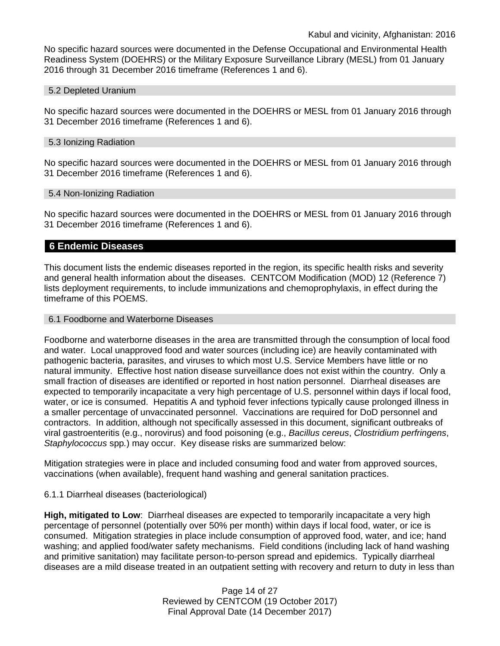No specific hazard sources were documented in the Defense Occupational and Environmental Health Readiness System (DOEHRS) or the Military Exposure Surveillance Library (MESL) from 01 January 2016 through 31 December 2016 timeframe (References 1 and 6).

#### 5.2 Depleted Uranium

No specific hazard sources were documented in the DOEHRS or MESL from 01 January 2016 through 31 December 2016 timeframe (References 1 and 6).

#### 5.3 Ionizing Radiation

No specific hazard sources were documented in the DOEHRS or MESL from 01 January 2016 through 31 December 2016 timeframe (References 1 and 6).

### 5.4 Non-Ionizing Radiation

No specific hazard sources were documented in the DOEHRS or MESL from 01 January 2016 through 31 December 2016 timeframe (References 1 and 6).

### **6 Endemic Diseases**

This document lists the endemic diseases reported in the region, its specific health risks and severity and general health information about the diseases. CENTCOM Modification (MOD) 12 (Reference 7) lists deployment requirements, to include immunizations and chemoprophylaxis, in effect during the timeframe of this POEMS.

#### 6.1 Foodborne and Waterborne Diseases

Foodborne and waterborne diseases in the area are transmitted through the consumption of local food and water. Local unapproved food and water sources (including ice) are heavily contaminated with pathogenic bacteria, parasites, and viruses to which most U.S. Service Members have little or no natural immunity. Effective host nation disease surveillance does not exist within the country. Only a small fraction of diseases are identified or reported in host nation personnel. Diarrheal diseases are expected to temporarily incapacitate a very high percentage of U.S. personnel within days if local food, water, or ice is consumed. Hepatitis A and typhoid fever infections typically cause prolonged illness in a smaller percentage of unvaccinated personnel. Vaccinations are required for DoD personnel and contractors. In addition, although not specifically assessed in this document, significant outbreaks of viral gastroenteritis (e.g., norovirus) and food poisoning (e.g., *Bacillus cereus*, *Clostridium perfringens*, *Staphylococcus* spp*.*) may occur. Key disease risks are summarized below:

Mitigation strategies were in place and included consuming food and water from approved sources, vaccinations (when available), frequent hand washing and general sanitation practices.

### 6.1.1 Diarrheal diseases (bacteriological)

**High, mitigated to Low**: Diarrheal diseases are expected to temporarily incapacitate a very high percentage of personnel (potentially over 50% per month) within days if local food, water, or ice is consumed. Mitigation strategies in place include consumption of approved food, water, and ice; hand washing; and applied food/water safety mechanisms. Field conditions (including lack of hand washing and primitive sanitation) may facilitate person-to-person spread and epidemics. Typically diarrheal diseases are a mild disease treated in an outpatient setting with recovery and return to duty in less than

> Page 14 of 27 Reviewed by CENTCOM (19 October 2017) Final Approval Date (14 December 2017)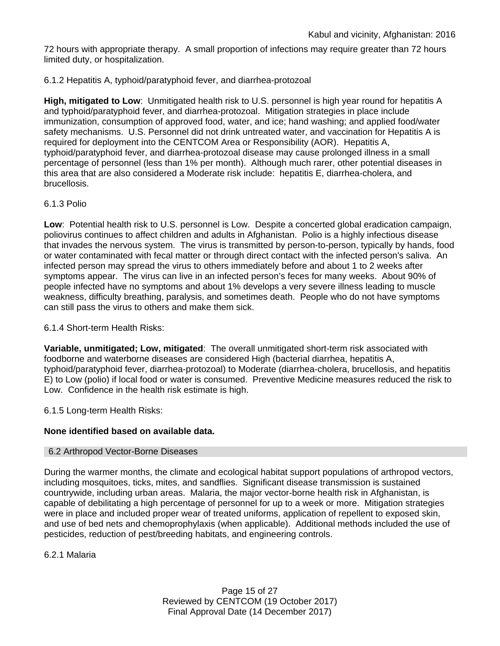72 hours with appropriate therapy. A small proportion of infections may require greater than 72 hours limited duty, or hospitalization.

### 6.1.2 Hepatitis A, typhoid/paratyphoid fever, and diarrhea-protozoal

**High, mitigated to Low**: Unmitigated health risk to U.S. personnel is high year round for hepatitis A and typhoid/paratyphoid fever, and diarrhea-protozoal. Mitigation strategies in place include immunization, consumption of approved food, water, and ice; hand washing; and applied food/water safety mechanisms. U.S. Personnel did not drink untreated water, and vaccination for Hepatitis A is required for deployment into the CENTCOM Area or Responsibility (AOR). Hepatitis A, typhoid/paratyphoid fever, and diarrhea-protozoal disease may cause prolonged illness in a small percentage of personnel (less than 1% per month). Although much rarer, other potential diseases in this area that are also considered a Moderate risk include: hepatitis E, diarrhea-cholera, and brucellosis.

### 6.1.3 Polio

**Low**: Potential health risk to U.S. personnel is Low. Despite a concerted global eradication campaign, poliovirus continues to affect children and adults in Afghanistan. Polio is a highly infectious disease that invades the nervous system. The virus is transmitted by person-to-person, typically by hands, food or water contaminated with fecal matter or through direct contact with the infected person's saliva. An infected person may spread the virus to others immediately before and about 1 to 2 weeks after symptoms appear. The virus can live in an infected person's feces for many weeks. About 90% of people infected have no symptoms and about 1% develops a very severe illness leading to muscle weakness, difficulty breathing, paralysis, and sometimes death. People who do not have symptoms can still pass the virus to others and make them sick.

6.1.4 Short-term Health Risks:

**Variable, unmitigated; Low, mitigated**: The overall unmitigated short-term risk associated with foodborne and waterborne diseases are considered High (bacterial diarrhea, hepatitis A, typhoid/paratyphoid fever, diarrhea-protozoal) to Moderate (diarrhea-cholera, brucellosis, and hepatitis E) to Low (polio) if local food or water is consumed. Preventive Medicine measures reduced the risk to Low. Confidence in the health risk estimate is high.

6.1.5 Long-term Health Risks:

# **None identified based on available data.**

### 6.2 Arthropod Vector-Borne Diseases

During the warmer months, the climate and ecological habitat support populations of arthropod vectors, including mosquitoes, ticks, mites, and sandflies. Significant disease transmission is sustained countrywide, including urban areas. Malaria, the major vector-borne health risk in Afghanistan, is capable of debilitating a high percentage of personnel for up to a week or more. Mitigation strategies were in place and included proper wear of treated uniforms, application of repellent to exposed skin, and use of bed nets and chemoprophylaxis (when applicable). Additional methods included the use of pesticides, reduction of pest/breeding habitats, and engineering controls.

6.2.1 Malaria

Page 15 of 27 Reviewed by CENTCOM (19 October 2017) Final Approval Date (14 December 2017)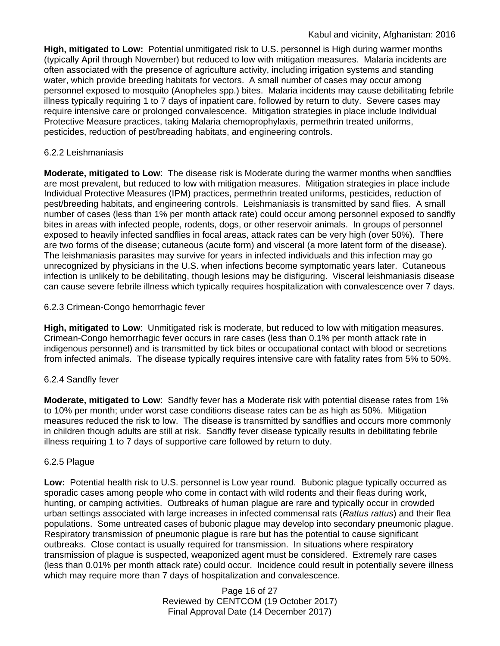**High, mitigated to Low:** Potential unmitigated risk to U.S. personnel is High during warmer months (typically April through November) but reduced to low with mitigation measures. Malaria incidents are often associated with the presence of agriculture activity, including irrigation systems and standing water, which provide breeding habitats for vectors. A small number of cases may occur among personnel exposed to mosquito (Anopheles spp.) bites. Malaria incidents may cause debilitating febrile illness typically requiring 1 to 7 days of inpatient care, followed by return to duty. Severe cases may require intensive care or prolonged convalescence. Mitigation strategies in place include Individual Protective Measure practices, taking Malaria chemoprophylaxis, permethrin treated uniforms, pesticides, reduction of pest/breading habitats, and engineering controls.

# 6.2.2 Leishmaniasis

**Moderate, mitigated to Low**: The disease risk is Moderate during the warmer months when sandflies are most prevalent, but reduced to low with mitigation measures. Mitigation strategies in place include Individual Protective Measures (IPM) practices, permethrin treated uniforms, pesticides, reduction of pest/breeding habitats, and engineering controls. Leishmaniasis is transmitted by sand flies. A small number of cases (less than 1% per month attack rate) could occur among personnel exposed to sandfly bites in areas with infected people, rodents, dogs, or other reservoir animals. In groups of personnel exposed to heavily infected sandflies in focal areas, attack rates can be very high (over 50%). There are two forms of the disease; cutaneous (acute form) and visceral (a more latent form of the disease). The leishmaniasis parasites may survive for years in infected individuals and this infection may go unrecognized by physicians in the U.S. when infections become symptomatic years later. Cutaneous infection is unlikely to be debilitating, though lesions may be disfiguring. Visceral leishmaniasis disease can cause severe febrile illness which typically requires hospitalization with convalescence over 7 days.

# 6.2.3 Crimean-Congo hemorrhagic fever

**High, mitigated to Low**: Unmitigated risk is moderate, but reduced to low with mitigation measures. Crimean-Congo hemorrhagic fever occurs in rare cases (less than 0.1% per month attack rate in indigenous personnel) and is transmitted by tick bites or occupational contact with blood or secretions from infected animals. The disease typically requires intensive care with fatality rates from 5% to 50%.

# 6.2.4 Sandfly fever

**Moderate, mitigated to Low**: Sandfly fever has a Moderate risk with potential disease rates from 1% to 10% per month; under worst case conditions disease rates can be as high as 50%. Mitigation measures reduced the risk to low. The disease is transmitted by sandflies and occurs more commonly in children though adults are still at risk. Sandfly fever disease typically results in debilitating febrile illness requiring 1 to 7 days of supportive care followed by return to duty.

# 6.2.5 Plague

**Low:** Potential health risk to U.S. personnel is Low year round. Bubonic plague typically occurred as sporadic cases among people who come in contact with wild rodents and their fleas during work, hunting, or camping activities. Outbreaks of human plague are rare and typically occur in crowded urban settings associated with large increases in infected commensal rats (*Rattus rattus*) and their flea populations. Some untreated cases of bubonic plague may develop into secondary pneumonic plague. Respiratory transmission of pneumonic plague is rare but has the potential to cause significant outbreaks. Close contact is usually required for transmission. In situations where respiratory transmission of plague is suspected, weaponized agent must be considered. Extremely rare cases (less than 0.01% per month attack rate) could occur. Incidence could result in potentially severe illness which may require more than 7 days of hospitalization and convalescence.

> Page 16 of 27 Reviewed by CENTCOM (19 October 2017) Final Approval Date (14 December 2017)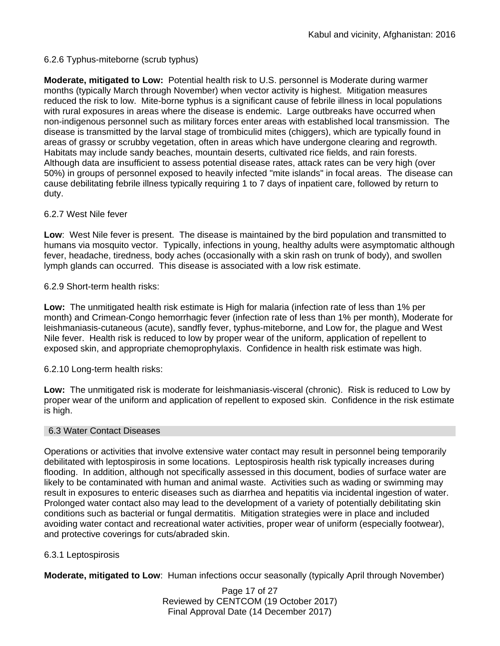# 6.2.6 Typhus-miteborne (scrub typhus)

**Moderate, mitigated to Low:** Potential health risk to U.S. personnel is Moderate during warmer months (typically March through November) when vector activity is highest. Mitigation measures reduced the risk to low. Mite-borne typhus is a significant cause of febrile illness in local populations with rural exposures in areas where the disease is endemic. Large outbreaks have occurred when non-indigenous personnel such as military forces enter areas with established local transmission. The disease is transmitted by the larval stage of trombiculid mites (chiggers), which are typically found in areas of grassy or scrubby vegetation, often in areas which have undergone clearing and regrowth. Habitats may include sandy beaches, mountain deserts, cultivated rice fields, and rain forests. Although data are insufficient to assess potential disease rates, attack rates can be very high (over 50%) in groups of personnel exposed to heavily infected "mite islands" in focal areas. The disease can cause debilitating febrile illness typically requiring 1 to 7 days of inpatient care, followed by return to duty.

# 6.2.7 West Nile fever

**Low**: West Nile fever is present. The disease is maintained by the bird population and transmitted to humans via mosquito vector. Typically, infections in young, healthy adults were asymptomatic although fever, headache, tiredness, body aches (occasionally with a skin rash on trunk of body), and swollen lymph glands can occurred. This disease is associated with a low risk estimate.

# 6.2.9 Short-term health risks:

**Low:** The unmitigated health risk estimate is High for malaria (infection rate of less than 1% per month) and Crimean-Congo hemorrhagic fever (infection rate of less than 1% per month), Moderate for leishmaniasis-cutaneous (acute), sandfly fever, typhus-miteborne, and Low for, the plague and West Nile fever. Health risk is reduced to low by proper wear of the uniform, application of repellent to exposed skin, and appropriate chemoprophylaxis. Confidence in health risk estimate was high.

6.2.10 Long-term health risks:

**Low:** The unmitigated risk is moderate for leishmaniasis-visceral (chronic). Risk is reduced to Low by proper wear of the uniform and application of repellent to exposed skin. Confidence in the risk estimate is high.

### 6.3 Water Contact Diseases

Operations or activities that involve extensive water contact may result in personnel being temporarily debilitated with leptospirosis in some locations. Leptospirosis health risk typically increases during flooding. In addition, although not specifically assessed in this document, bodies of surface water are likely to be contaminated with human and animal waste. Activities such as wading or swimming may result in exposures to enteric diseases such as diarrhea and hepatitis via incidental ingestion of water. Prolonged water contact also may lead to the development of a variety of potentially debilitating skin conditions such as bacterial or fungal dermatitis. Mitigation strategies were in place and included avoiding water contact and recreational water activities, proper wear of uniform (especially footwear), and protective coverings for cuts/abraded skin.

# 6.3.1 Leptospirosis

**Moderate, mitigated to Low**: Human infections occur seasonally (typically April through November)

Page 17 of 27 Reviewed by CENTCOM (19 October 2017) Final Approval Date (14 December 2017)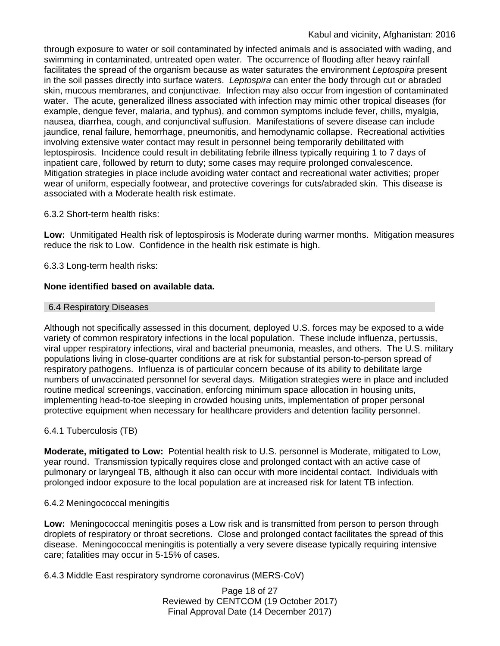through exposure to water or soil contaminated by infected animals and is associated with wading, and swimming in contaminated, untreated open water. The occurrence of flooding after heavy rainfall facilitates the spread of the organism because as water saturates the environment *Leptospira* present in the soil passes directly into surface waters. *Leptospira* can enter the body through cut or abraded skin, mucous membranes, and conjunctivae. Infection may also occur from ingestion of contaminated water. The acute, generalized illness associated with infection may mimic other tropical diseases (for example, dengue fever, malaria, and typhus), and common symptoms include fever, chills, myalgia, nausea, diarrhea, cough, and conjunctival suffusion. Manifestations of severe disease can include jaundice, renal failure, hemorrhage, pneumonitis, and hemodynamic collapse. Recreational activities involving extensive water contact may result in personnel being temporarily debilitated with leptospirosis. Incidence could result in debilitating febrile illness typically requiring 1 to 7 days of inpatient care, followed by return to duty; some cases may require prolonged convalescence. Mitigation strategies in place include avoiding water contact and recreational water activities; proper wear of uniform, especially footwear, and protective coverings for cuts/abraded skin. This disease is associated with a Moderate health risk estimate.

# 6.3.2 Short-term health risks:

**Low:** Unmitigated Health risk of leptospirosis is Moderate during warmer months. Mitigation measures reduce the risk to Low. Confidence in the health risk estimate is high.

# 6.3.3 Long-term health risks:

# **None identified based on available data.**

# 6.4 Respiratory Diseases

Although not specifically assessed in this document, deployed U.S. forces may be exposed to a wide variety of common respiratory infections in the local population. These include influenza, pertussis, viral upper respiratory infections, viral and bacterial pneumonia, measles, and others. The U.S. military populations living in close-quarter conditions are at risk for substantial person-to-person spread of respiratory pathogens. Influenza is of particular concern because of its ability to debilitate large numbers of unvaccinated personnel for several days. Mitigation strategies were in place and included routine medical screenings, vaccination, enforcing minimum space allocation in housing units, implementing head-to-toe sleeping in crowded housing units, implementation of proper personal protective equipment when necessary for healthcare providers and detention facility personnel.

# 6.4.1 Tuberculosis (TB)

**Moderate, mitigated to Low:** Potential health risk to U.S. personnel is Moderate, mitigated to Low, year round. Transmission typically requires close and prolonged contact with an active case of pulmonary or laryngeal TB, although it also can occur with more incidental contact. Individuals with prolonged indoor exposure to the local population are at increased risk for latent TB infection.

# 6.4.2 Meningococcal meningitis

**Low:** Meningococcal meningitis poses a Low risk and is transmitted from person to person through droplets of respiratory or throat secretions. Close and prolonged contact facilitates the spread of this disease. Meningococcal meningitis is potentially a very severe disease typically requiring intensive care; fatalities may occur in 5-15% of cases.

6.4.3 Middle East respiratory syndrome coronavirus (MERS-CoV)

Page 18 of 27 Reviewed by CENTCOM (19 October 2017) Final Approval Date (14 December 2017)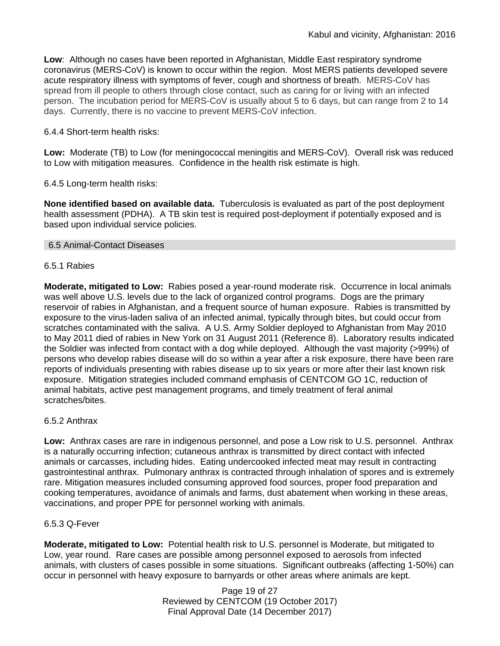**Low**: Although no cases have been reported in Afghanistan, Middle East respiratory syndrome coronavirus (MERS-CoV) is known to occur within the region. Most MERS patients developed severe acute respiratory illness with symptoms of fever, cough and shortness of breath. MERS-CoV has spread from ill people to others through close contact, such as caring for or living with an infected person. The incubation period for MERS-CoV is usually about 5 to 6 days, but can range from 2 to 14 days. Currently, there is no vaccine to prevent MERS-CoV infection.

# 6.4.4 Short-term health risks:

**Low:** Moderate (TB) to Low (for meningococcal meningitis and MERS-CoV). Overall risk was reduced to Low with mitigation measures. Confidence in the health risk estimate is high.

# 6.4.5 Long-term health risks:

**None identified based on available data.** Tuberculosis is evaluated as part of the post deployment health assessment (PDHA). A TB skin test is required post-deployment if potentially exposed and is based upon individual service policies.

### 6.5 Animal-Contact Diseases

### 6.5.1 Rabies

**Moderate, mitigated to Low:** Rabies posed a year-round moderate risk. Occurrence in local animals was well above U.S. levels due to the lack of organized control programs. Dogs are the primary reservoir of rabies in Afghanistan, and a frequent source of human exposure. Rabies is transmitted by exposure to the virus-laden saliva of an infected animal, typically through bites, but could occur from scratches contaminated with the saliva. A U.S. Army Soldier deployed to Afghanistan from May 2010 to May 2011 died of rabies in New York on 31 August 2011 (Reference 8). Laboratory results indicated the Soldier was infected from contact with a dog while deployed. Although the vast majority (>99%) of persons who develop rabies disease will do so within a year after a risk exposure, there have been rare reports of individuals presenting with rabies disease up to six years or more after their last known risk exposure. Mitigation strategies included command emphasis of CENTCOM GO 1C, reduction of animal habitats, active pest management programs, and timely treatment of feral animal scratches/bites.

# 6.5.2 Anthrax

**Low:** Anthrax cases are rare in indigenous personnel, and pose a Low risk to U.S. personnel. Anthrax is a naturally occurring infection; cutaneous anthrax is transmitted by direct contact with infected animals or carcasses, including hides. Eating undercooked infected meat may result in contracting gastrointestinal anthrax. Pulmonary anthrax is contracted through inhalation of spores and is extremely rare. Mitigation measures included consuming approved food sources, proper food preparation and cooking temperatures, avoidance of animals and farms, dust abatement when working in these areas, vaccinations, and proper PPE for personnel working with animals.

# 6.5.3 Q-Fever

**Moderate, mitigated to Low:** Potential health risk to U.S. personnel is Moderate, but mitigated to Low, year round. Rare cases are possible among personnel exposed to aerosols from infected animals, with clusters of cases possible in some situations. Significant outbreaks (affecting 1-50%) can occur in personnel with heavy exposure to barnyards or other areas where animals are kept.

> Page 19 of 27 Reviewed by CENTCOM (19 October 2017) Final Approval Date (14 December 2017)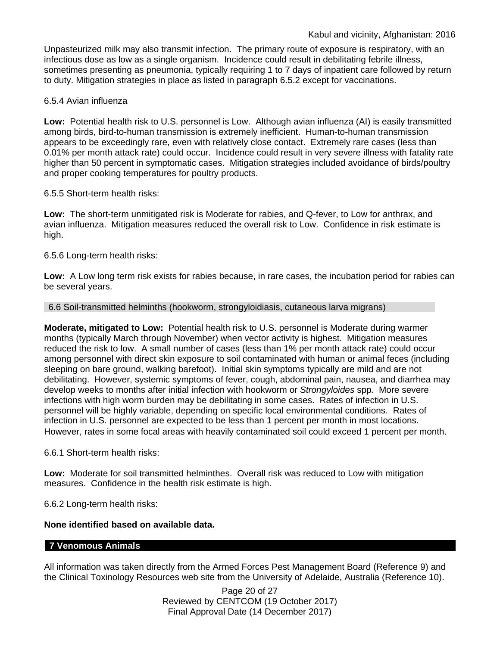Unpasteurized milk may also transmit infection. The primary route of exposure is respiratory, with an infectious dose as low as a single organism. Incidence could result in debilitating febrile illness, sometimes presenting as pneumonia, typically requiring 1 to 7 days of inpatient care followed by return to duty. Mitigation strategies in place as listed in paragraph 6.5.2 except for vaccinations.

### 6.5.4 Avian influenza

**Low:** Potential health risk to U.S. personnel is Low. Although avian influenza (AI) is easily transmitted among birds, bird-to-human transmission is extremely inefficient. Human-to-human transmission appears to be exceedingly rare, even with relatively close contact. Extremely rare cases (less than 0.01% per month attack rate) could occur. Incidence could result in very severe illness with fatality rate higher than 50 percent in symptomatic cases. Mitigation strategies included avoidance of birds/poultry and proper cooking temperatures for poultry products.

### 6.5.5 Short-term health risks:

**Low:** The short-term unmitigated risk is Moderate for rabies, and Q-fever, to Low for anthrax, and avian influenza. Mitigation measures reduced the overall risk to Low.Confidence in risk estimate is high.

### 6.5.6 Long-term health risks:

**Low:** A Low long term risk exists for rabies because, in rare cases, the incubation period for rabies can be several years.

### 6.6 Soil-transmitted helminths (hookworm, strongyloidiasis, cutaneous larva migrans)

**Moderate, mitigated to Low:** Potential health risk to U.S. personnel is Moderate during warmer months (typically March through November) when vector activity is highest. Mitigation measures reduced the risk to low. A small number of cases (less than 1% per month attack rate) could occur among personnel with direct skin exposure to soil contaminated with human or animal feces (including sleeping on bare ground, walking barefoot). Initial skin symptoms typically are mild and are not debilitating. However, systemic symptoms of fever, cough, abdominal pain, nausea, and diarrhea may develop weeks to months after initial infection with hookworm or *Strongyloides* spp*.* More severe infections with high worm burden may be debilitating in some cases. Rates of infection in U.S. personnel will be highly variable, depending on specific local environmental conditions. Rates of infection in U.S. personnel are expected to be less than 1 percent per month in most locations. However, rates in some focal areas with heavily contaminated soil could exceed 1 percent per month.

6.6.1 Short-term health risks:

**Low:** Moderate for soil transmitted helminthes. Overall risk was reduced to Low with mitigation measures. Confidence in the health risk estimate is high.

6.6.2 Long-term health risks:

# **None identified based on available data.**

### **7 Venomous Animals**

All information was taken directly from the Armed Forces Pest Management Board (Reference 9) and the Clinical Toxinology Resources web site from the University of Adelaide, Australia (Reference 10).

> Page 20 of 27 Reviewed by CENTCOM (19 October 2017) Final Approval Date (14 December 2017)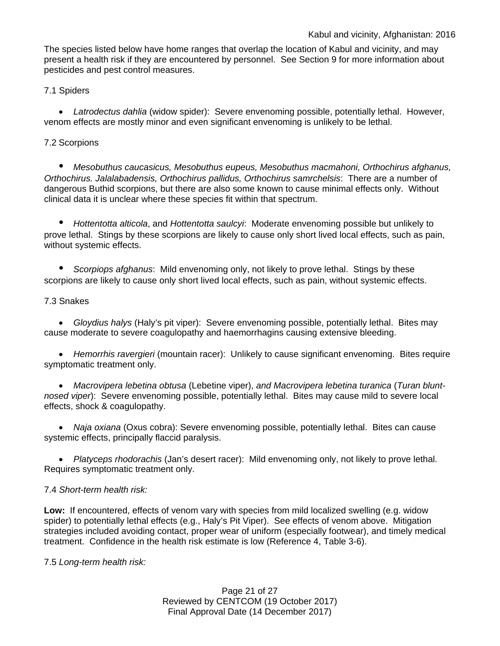The species listed below have home ranges that overlap the location of Kabul and vicinity, and may present a health risk if they are encountered by personnel. See Section 9 for more information about pesticides and pest control measures.

# 7.1 Spiders

• *Latrodectus dahlia* (widow spider): Severe envenoming possible, potentially lethal. However, venom effects are mostly minor and even significant envenoming is unlikely to be lethal.

# 7.2 Scorpions

*• Mesobuthus caucasicus, Mesobuthus eupeus, Mesobuthus macmahoni, Orthochirus afghanus, Orthochirus. Jalalabadensis, Orthochirus pallidus, Orthochirus samrchelsis*: There are a number of dangerous Buthid scorpions, but there are also some known to cause minimal effects only. Without clinical data it is unclear where these species fit within that spectrum.

*• Hottentotta alticola*, and *Hottentotta saulcyi*: Moderate envenoming possible but unlikely to prove lethal. Stings by these scorpions are likely to cause only short lived local effects, such as pain, without systemic effects.

*• Scorpiops afghanus*: Mild envenoming only, not likely to prove lethal. Stings by these scorpions are likely to cause only short lived local effects, such as pain, without systemic effects.

# 7.3 Snakes

• *Gloydius halys* (Haly's pit viper): Severe envenoming possible, potentially lethal. Bites may cause moderate to severe coagulopathy and haemorrhagins causing extensive bleeding.

• *Hemorrhis ravergieri* (mountain racer): Unlikely to cause significant envenoming. Bites require symptomatic treatment only.

• *Macrovipera lebetina obtusa* (Lebetine viper), *and Macrovipera lebetina turanica* (*Turan bluntnosed viper*): Severe envenoming possible, potentially lethal. Bites may cause mild to severe local effects, shock & coagulopathy.

• *Naja oxiana* (Oxus cobra): Severe envenoming possible, potentially lethal. Bites can cause systemic effects, principally flaccid paralysis.

• *Platyceps rhodorachis* (Jan's desert racer): Mild envenoming only, not likely to prove lethal. Requires symptomatic treatment only.

# 7.4 *Short-term health risk:*

**Low:** If encountered, effects of venom vary with species from mild localized swelling (e.g. widow spider) to potentially lethal effects (e.g., Haly's Pit Viper). See effects of venom above. Mitigation strategies included avoiding contact, proper wear of uniform (especially footwear), and timely medical treatment. Confidence in the health risk estimate is low (Reference 4, Table 3-6).

7.5 *Long-term health risk:*

Page 21 of 27 Reviewed by CENTCOM (19 October 2017) Final Approval Date (14 December 2017)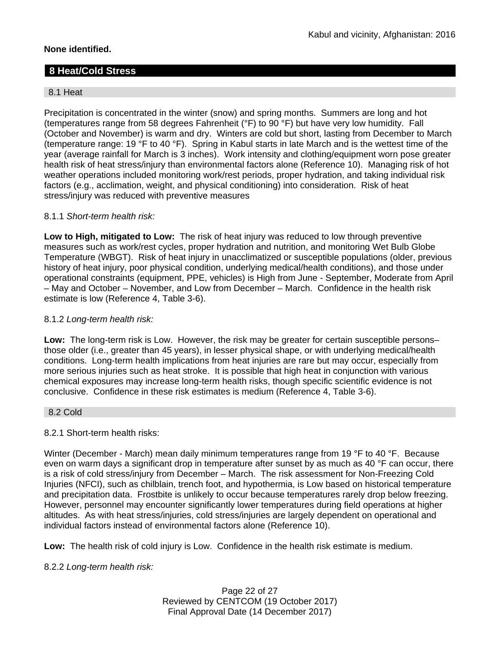# **None identified.**

# **8 Heat/Cold Stress**

# 8.1 Heat

Precipitation is concentrated in the winter (snow) and spring months. Summers are long and hot (temperatures range from 58 degrees Fahrenheit (°F) to 90 °F) but have very low humidity. Fall (October and November) is warm and dry. Winters are cold but short, lasting from December to March (temperature range: 19 °F to 40 °F). Spring in Kabul starts in late March and is the wettest time of the year (average rainfall for March is 3 inches). Work intensity and clothing/equipment worn pose greater health risk of heat stress/injury than environmental factors alone (Reference 10). Managing risk of hot weather operations included monitoring work/rest periods, proper hydration, and taking individual risk factors (e.g., acclimation, weight, and physical conditioning) into consideration. Risk of heat stress/injury was reduced with preventive measures

# 8.1.1 *Short-term health risk:*

**Low to High, mitigated to Low:** The risk of heat injury was reduced to low through preventive measures such as work/rest cycles, proper hydration and nutrition, and monitoring Wet Bulb Globe Temperature (WBGT). Risk of heat injury in unacclimatized or susceptible populations (older, previous history of heat injury, poor physical condition, underlying medical/health conditions), and those under operational constraints (equipment, PPE, vehicles) is High from June - September, Moderate from April – May and October – November, and Low from December – March. Confidence in the health risk estimate is low (Reference 4, Table 3-6).

### 8.1.2 *Long-term health risk:*

**Low:** The long-term risk is Low. However, the risk may be greater for certain susceptible persons– those older (i.e., greater than 45 years), in lesser physical shape, or with underlying medical/health conditions. Long-term health implications from heat injuries are rare but may occur, especially from more serious injuries such as heat stroke. It is possible that high heat in conjunction with various chemical exposures may increase long-term health risks, though specific scientific evidence is not conclusive. Confidence in these risk estimates is medium (Reference 4, Table 3-6).

### 8.2 Cold

# 8.2.1 Short-term health risks:

Winter (December - March) mean daily minimum temperatures range from 19 °F to 40 °F. Because even on warm days a significant drop in temperature after sunset by as much as 40 °F can occur, there is a risk of cold stress/injury from December – March. The risk assessment for Non-Freezing Cold Injuries (NFCI), such as chilblain, trench foot, and hypothermia, is Low based on historical temperature and precipitation data. Frostbite is unlikely to occur because temperatures rarely drop below freezing. However, personnel may encounter significantly lower temperatures during field operations at higher altitudes. As with heat stress/injuries, cold stress/injuries are largely dependent on operational and individual factors instead of environmental factors alone (Reference 10).

**Low:** The health risk of cold injury is Low. Confidence in the health risk estimate is medium.

# 8.2.2 *Long-term health risk:*

Page 22 of 27 Reviewed by CENTCOM (19 October 2017) Final Approval Date (14 December 2017)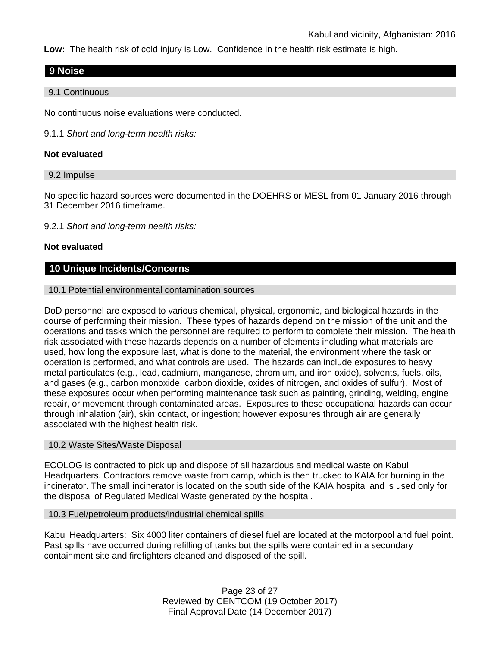**Low:** The health risk of cold injury is Low. Confidence in the health risk estimate is high.

# **9 Noise**

9.1 Continuous

No continuous noise evaluations were conducted.

9.1.1 *Short and long-term health risks:*

### **Not evaluated**

### 9.2 Impulse

No specific hazard sources were documented in the DOEHRS or MESL from 01 January 2016 through 31 December 2016 timeframe.

9.2.1 *Short and long-term health risks:*

### **Not evaluated**

# **10 Unique Incidents/Concerns**

### 10.1 Potential environmental contamination sources

DoD personnel are exposed to various chemical, physical, ergonomic, and biological hazards in the course of performing their mission. These types of hazards depend on the mission of the unit and the operations and tasks which the personnel are required to perform to complete their mission. The health risk associated with these hazards depends on a number of elements including what materials are used, how long the exposure last, what is done to the material, the environment where the task or operation is performed, and what controls are used. The hazards can include exposures to heavy metal particulates (e.g., lead, cadmium, manganese, chromium, and iron oxide), solvents, fuels, oils, and gases (e.g., carbon monoxide, carbon dioxide, oxides of nitrogen, and oxides of sulfur). Most of these exposures occur when performing maintenance task such as painting, grinding, welding, engine repair, or movement through contaminated areas. Exposures to these occupational hazards can occur through inhalation (air), skin contact, or ingestion; however exposures through air are generally associated with the highest health risk.

### 10.2 Waste Sites/Waste Disposal

ECOLOG is contracted to pick up and dispose of all hazardous and medical waste on Kabul Headquarters. Contractors remove waste from camp, which is then trucked to KAIA for burning in the incinerator. The small incinerator is located on the south side of the KAIA hospital and is used only for the disposal of Regulated Medical Waste generated by the hospital.

### 10.3 Fuel/petroleum products/industrial chemical spills

Kabul Headquarters: Six 4000 liter containers of diesel fuel are located at the motorpool and fuel point. Past spills have occurred during refilling of tanks but the spills were contained in a secondary containment site and firefighters cleaned and disposed of the spill.

> Page 23 of 27 Reviewed by CENTCOM (19 October 2017) Final Approval Date (14 December 2017)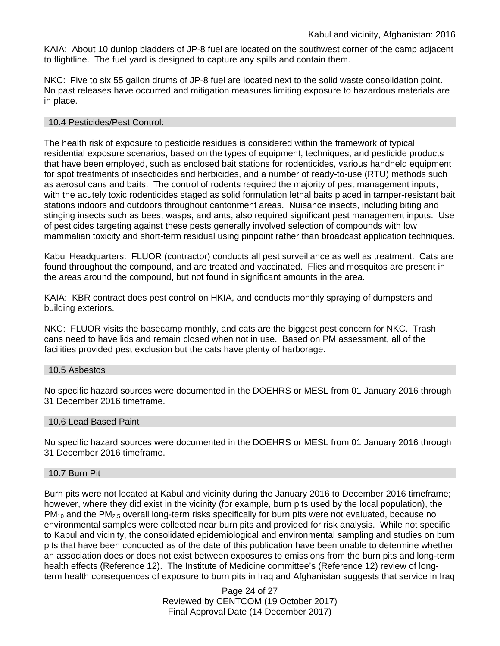KAIA: About 10 dunlop bladders of JP-8 fuel are located on the southwest corner of the camp adjacent to flightline. The fuel yard is designed to capture any spills and contain them.

NKC: Five to six 55 gallon drums of JP-8 fuel are located next to the solid waste consolidation point. No past releases have occurred and mitigation measures limiting exposure to hazardous materials are in place.

### 10.4 Pesticides/Pest Control:

The health risk of exposure to pesticide residues is considered within the framework of typical residential exposure scenarios, based on the types of equipment, techniques, and pesticide products that have been employed, such as enclosed bait stations for rodenticides, various handheld equipment for spot treatments of insecticides and herbicides, and a number of ready-to-use (RTU) methods such as aerosol cans and baits. The control of rodents required the majority of pest management inputs, with the acutely toxic rodenticides staged as solid formulation lethal baits placed in tamper-resistant bait stations indoors and outdoors throughout cantonment areas. Nuisance insects, including biting and stinging insects such as bees, wasps, and ants, also required significant pest management inputs. Use of pesticides targeting against these pests generally involved selection of compounds with low mammalian toxicity and short-term residual using pinpoint rather than broadcast application techniques.

Kabul Headquarters: FLUOR (contractor) conducts all pest surveillance as well as treatment. Cats are found throughout the compound, and are treated and vaccinated. Flies and mosquitos are present in the areas around the compound, but not found in significant amounts in the area.

KAIA: KBR contract does pest control on HKIA, and conducts monthly spraying of dumpsters and building exteriors.

NKC: FLUOR visits the basecamp monthly, and cats are the biggest pest concern for NKC. Trash cans need to have lids and remain closed when not in use. Based on PM assessment, all of the facilities provided pest exclusion but the cats have plenty of harborage.

### 10.5 Asbestos

No specific hazard sources were documented in the DOEHRS or MESL from 01 January 2016 through 31 December 2016 timeframe.

### 10.6 Lead Based Paint

No specific hazard sources were documented in the DOEHRS or MESL from 01 January 2016 through 31 December 2016 timeframe.

#### 10.7 Burn Pit

Burn pits were not located at Kabul and vicinity during the January 2016 to December 2016 timeframe; however, where they did exist in the vicinity (for example, burn pits used by the local population), the  $PM_{10}$  and the PM<sub>2.5</sub> overall long-term risks specifically for burn pits were not evaluated, because no environmental samples were collected near burn pits and provided for risk analysis. While not specific to Kabul and vicinity, the consolidated epidemiological and environmental sampling and studies on burn pits that have been conducted as of the date of this publication have been unable to determine whether an association does or does not exist between exposures to emissions from the burn pits and long-term health effects (Reference 12). The Institute of Medicine committee's (Reference 12) review of longterm health consequences of exposure to burn pits in Iraq and Afghanistan suggests that service in Iraq

> Page 24 of 27 Reviewed by CENTCOM (19 October 2017) Final Approval Date (14 December 2017)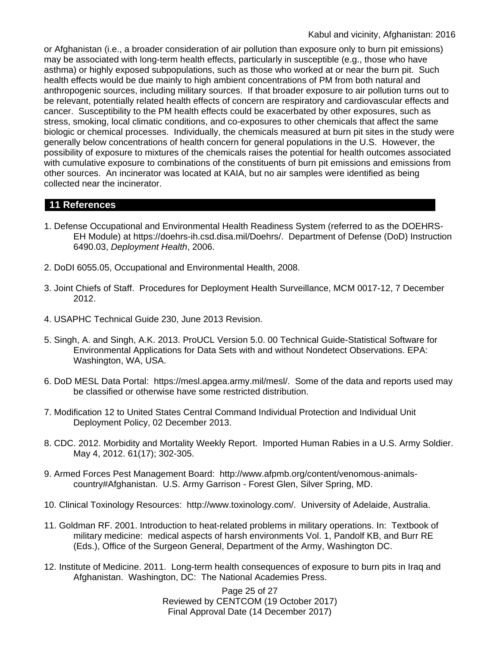or Afghanistan (i.e., a broader consideration of air pollution than exposure only to burn pit emissions) may be associated with long-term health effects, particularly in susceptible (e.g., those who have asthma) or highly exposed subpopulations, such as those who worked at or near the burn pit. Such health effects would be due mainly to high ambient concentrations of PM from both natural and anthropogenic sources, including military sources. If that broader exposure to air pollution turns out to be relevant, potentially related health effects of concern are respiratory and cardiovascular effects and cancer. Susceptibility to the PM health effects could be exacerbated by other exposures, such as stress, smoking, local climatic conditions, and co-exposures to other chemicals that affect the same biologic or chemical processes. Individually, the chemicals measured at burn pit sites in the study were generally below concentrations of health concern for general populations in the U.S. However, the possibility of exposure to mixtures of the chemicals raises the potential for health outcomes associated with cumulative exposure to combinations of the constituents of burn pit emissions and emissions from other sources. An incinerator was located at KAIA, but no air samples were identified as being collected near the incinerator.

# **11 References**

- 1. Defense Occupational and Environmental Health Readiness System (referred to as the DOEHRS-EH Module) at https://doehrs-ih.csd.disa.mil/Doehrs/. Department of Defense (DoD) Instruction 6490.03, *Deployment Health*, 2006.
- 2. DoDI 6055.05, Occupational and Environmental Health, 2008.
- 3. Joint Chiefs of Staff. Procedures for Deployment Health Surveillance, MCM 0017-12, 7 December 2012.
- 4. USAPHC Technical Guide 230, June 2013 Revision.
- 5. Singh, A. and Singh, A.K. 2013. ProUCL Version 5.0. 00 Technical Guide-Statistical Software for Environmental Applications for Data Sets with and without Nondetect Observations. EPA: Washington, WA, USA.
- 6. DoD MESL Data Portal: https://mesl.apgea.army.mil/mesl/. Some of the data and reports used may be classified or otherwise have some restricted distribution.
- 7. Modification 12 to United States Central Command Individual Protection and Individual Unit Deployment Policy, 02 December 2013.
- 8. CDC. 2012. Morbidity and Mortality Weekly Report. Imported Human Rabies in a U.S. Army Soldier. May 4, 2012. 61(17); 302-305.
- 9. Armed Forces Pest Management Board: http://www.afpmb.org/content/venomous-animalscountry#Afghanistan. U.S. Army Garrison - Forest Glen, Silver Spring, MD.
- 10. Clinical Toxinology Resources: http://www.toxinology.com/. University of Adelaide, Australia.
- 11. Goldman RF. 2001. Introduction to heat-related problems in military operations. In: Textbook of military medicine: medical aspects of harsh environments Vol. 1, Pandolf KB, and Burr RE (Eds.), Office of the Surgeon General, Department of the Army, Washington DC.
- 12. Institute of Medicine. 2011. Long-term health consequences of exposure to burn pits in Iraq and Afghanistan. Washington, DC: The National Academies Press.

Page 25 of 27 Reviewed by CENTCOM (19 October 2017) Final Approval Date (14 December 2017)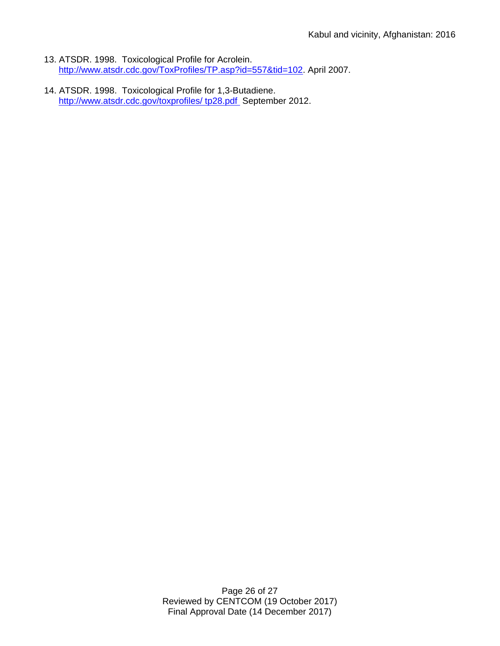- 13. ATSDR. 1998. Toxicological Profile for Acrolein. [http://www.atsdr.cdc.gov/ToxProfiles/TP.asp?id=557&tid=102.](http://www.atsdr.cdc.gov/ToxProfiles/TP.asp?id=557&tid=102) April 2007.
- 14. ATSDR. 1998. Toxicological Profile for 1,3-Butadiene. [http://www.atsdr.cdc.gov/toxprofiles/](http://www.atsdr.cdc.gov/toxprofiles/%20tp28.pdf) tp28.pdf September 2012.

Page 26 of 27 Reviewed by CENTCOM (19 October 2017) Final Approval Date (14 December 2017)